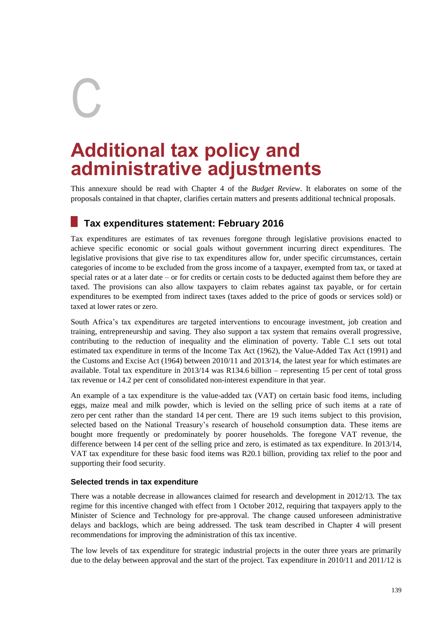# C

## **Additional tax policy and administrative adjustments**

This annexure should be read with Chapter 4 of the *Budget Review*. It elaborates on some of the proposals contained in that chapter, clarifies certain matters and presents additional technical proposals.

#### **Tax expenditures statement: February 2016**

Tax expenditures are estimates of tax revenues foregone through legislative provisions enacted to achieve specific economic or social goals without government incurring direct expenditures. The legislative provisions that give rise to tax expenditures allow for, under specific circumstances, certain categories of income to be excluded from the gross income of a taxpayer, exempted from tax, or taxed at special rates or at a later date – or for credits or certain costs to be deducted against them before they are taxed. The provisions can also allow taxpayers to claim rebates against tax payable, or for certain expenditures to be exempted from indirect taxes (taxes added to the price of goods or services sold) or taxed at lower rates or zero.

South Africa's tax expenditures are targeted interventions to encourage investment, job creation and training, entrepreneurship and saving. They also support a tax system that remains overall progressive, contributing to the reduction of inequality and the elimination of poverty. Table C.1 sets out total estimated tax expenditure in terms of the Income Tax Act (1962), the Value-Added Tax Act (1991) and the Customs and Excise Act (1964) between 2010/11 and 2013/14, the latest year for which estimates are available. Total tax expenditure in 2013/14 was R134.6 billion – representing 15 per cent of total gross tax revenue or 14.2 per cent of consolidated non-interest expenditure in that year.

An example of a tax expenditure is the value-added tax (VAT) on certain basic food items, including eggs, maize meal and milk powder, which is levied on the selling price of such items at a rate of zero per cent rather than the standard 14 per cent. There are 19 such items subject to this provision, selected based on the National Treasury's research of household consumption data. These items are bought more frequently or predominately by poorer households. The foregone VAT revenue, the difference between 14 per cent of the selling price and zero, is estimated as tax expenditure. In 2013/14, VAT tax expenditure for these basic food items was R20.1 billion, providing tax relief to the poor and supporting their food security.

#### **Selected trends in tax expenditure**

There was a notable decrease in allowances claimed for research and development in 2012/13. The tax regime for this incentive changed with effect from 1 October 2012, requiring that taxpayers apply to the Minister of Science and Technology for pre-approval. The change caused unforeseen administrative delays and backlogs, which are being addressed. The task team described in Chapter 4 will present recommendations for improving the administration of this tax incentive.

The low levels of tax expenditure for strategic industrial projects in the outer three years are primarily due to the delay between approval and the start of the project. Tax expenditure in 2010/11 and 2011/12 is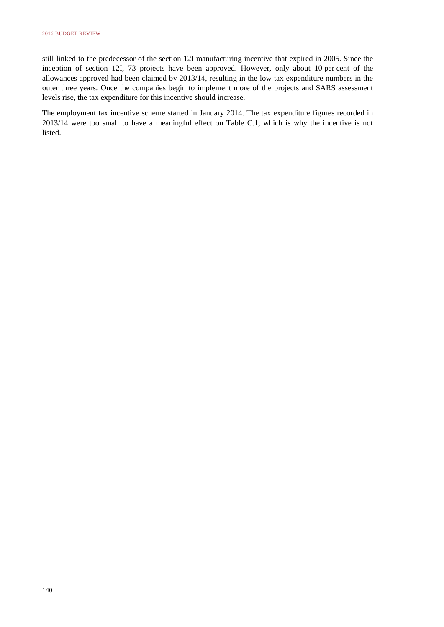still linked to the predecessor of the section 12I manufacturing incentive that expired in 2005. Since the inception of section 12I, 73 projects have been approved. However, only about 10 per cent of the allowances approved had been claimed by 2013/14, resulting in the low tax expenditure numbers in the outer three years. Once the companies begin to implement more of the projects and SARS assessment levels rise, the tax expenditure for this incentive should increase.

The employment tax incentive scheme started in January 2014. The tax expenditure figures recorded in 2013/14 were too small to have a meaningful effect on Table C.1, which is why the incentive is not listed.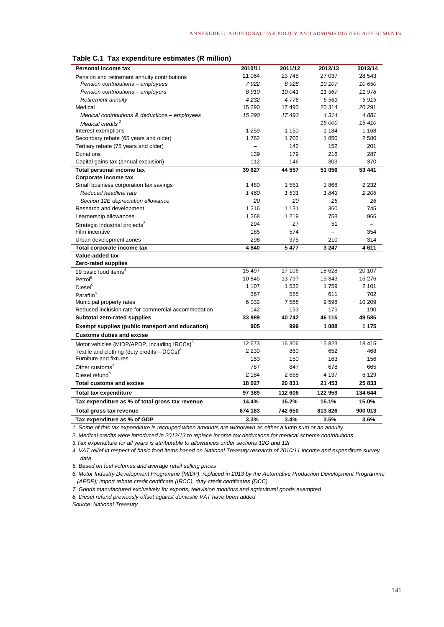| Personal income tax                                       | 2010/11                  | 2011/12                  | 2012/13 | 2013/14           |
|-----------------------------------------------------------|--------------------------|--------------------------|---------|-------------------|
| Pension and retirement annuity contributions <sup>1</sup> | 21 064                   | 23 745                   | 27 037  | 28 543            |
| Pension contributions - employees                         | 7922                     | 8928                     | 10 107  | 10 650            |
| Pension contributions - employers                         | 8910                     | 10 041                   | 11 367  | 11978             |
| Retirement annuity                                        | 4 2 3 2                  | 4776                     | 5563    | 5915              |
| Medical                                                   | 15 290                   | 17 493                   | 20 314  | 20 291            |
| Medical contributions & deductions - employees            | 15 2 9 0                 | 17493                    | 4314    | 4881              |
| Medical credits <sup>2</sup>                              | $\overline{\phantom{0}}$ | $\overline{\phantom{0}}$ | 16 000  | 15410             |
| Interest exemptions                                       | 1 2 5 9                  | 1 150                    | 1 1 8 4 | 1 1 6 8           |
| Secondary rebate (65 years and older)                     | 1762                     | 1702                     | 1850    | 2580              |
| Tertiary rebate (75 years and older)                      |                          | 142                      | 152     | 201               |
| Donations                                                 | 139                      | 179                      | 216     | 287               |
| Capital gains tax (annual exclusion)                      | 112                      | 146                      | 303     | 370               |
| Total personal income tax                                 | 39 627                   | 44 557                   | 51 056  | 53 441            |
| Corporate income tax                                      |                          |                          |         |                   |
| Small business corporation tax savings                    | 1 4 8 0                  | 1 551                    | 1868    | 2 2 3 2           |
| Reduced headline rate                                     | 1 460                    | 1531                     | 1843    | 2 2 0 6           |
| Section 12E depreciation allowance                        | 20                       | 20                       | 25      | 26                |
| Research and development                                  | 1 2 1 6                  | 1 1 3 1                  | 360     | 745               |
| Learnership allowances                                    | 1 3 6 8                  | 1 2 1 9                  | 758     | 966               |
| Strategic industrial projects <sup>3</sup>                | 294                      | 27                       | 51      | $\qquad \qquad -$ |
| Film incentive                                            | 185                      | 574                      |         | 354               |
| Urban development zones                                   | 298                      | 975                      | 210     | 314               |
| Total corporate income tax                                | 4840                     | 5 4 7 7                  | 3 2 4 7 | 4611              |
| Value-added tax                                           |                          |                          |         |                   |
| Zero-rated supplies                                       |                          |                          |         |                   |
| 19 basic food items <sup>4</sup>                          | 15 497                   | 17 106                   | 18 628  | 20 107            |
| Petrol <sup>5</sup>                                       | 10845                    | 13797                    | 15 343  | 16 276            |
| Diesel <sup>5</sup>                                       | 1 1 0 7                  | 1 5 3 2                  | 1759    | 2 101             |
| Paraffin <sup>5</sup>                                     | 367                      | 585                      | 611     | 702               |
| Municipal property rates                                  | 6 0 32                   | 7 5 6 8                  | 9598    | 10 209            |
| Reduced inclusion rate for commercial accommodation       | 142                      | 153                      | 175     | 190               |
| Subtotal zero-rated supplies                              | 33 989                   | 40742                    | 46 115  | 49 585            |
| Exempt supplies (public transport and education)          | 905                      | 999                      | 1 088   | 1 175             |
| <b>Customs duties and excise</b>                          |                          |                          |         |                   |
| Motor vehicles (MIDP/APDP, including IRCCs) <sup>6</sup>  | 12 673                   | 16 30 6                  | 15823   | 18 4 15           |
| Textile and clothing (duty credits $-DCCs$ ) <sup>6</sup> | 2 2 3 0                  | 860                      | 652     | 468               |
| Furniture and fixtures                                    | 153                      | 150                      | 163     | 156               |
| Other customs <sup>7</sup>                                | 787                      | 847                      | 678     | 665               |
| Diesel refund <sup>8</sup>                                | 2 1 8 4                  | 2668                     | 4 1 3 7 | 6 1 2 9           |
| <b>Total customs and excise</b>                           | 18 027                   | 20 831                   | 21 453  | 25 833            |
| <b>Total tax expenditure</b>                              | 97 389                   | 112 606                  | 122 959 | 134 644           |
| Tax expenditure as % of total gross tax revenue           | 14.4%                    | 15.2%                    | 15.1%   | 15.0%             |
| Total gross tax revenue                                   | 674 183                  | 742 650                  | 813826  | 900 013           |
| Tax expenditure as % of GDP                               | 3.3%                     | 3.4%                     | 3.5%    | 3.6%              |

*1. Some of this tax expenditure is recouped when amounts are withdrawn as either a lump sum or an annuity*

*2. Medical credits were introduced in 2012/13 to replace income tax deductions for medical scheme contributions*

*3.Tax expenditure for all years is attributable to allowances under sections 12G and 12I*

*4. VAT relief in respect of basic food items based on National Treasury research of 2010/11 income and expenditure survey data*

*5. Based on fuel volumes and average retail selling prices*

*6. Motor Industry Development Programme (MIDP), replaced in 2013 by the Automative Production Development Programme (APDP); import rebate credit certificate (IRCC), duty credit certificates (DCC)*

*7. Goods manufactured exclusively for exports, television monitors and agricultural goods exempted*

*8. Diesel refund previously offset against domestic VAT have been added* 

*Source: National Treasury*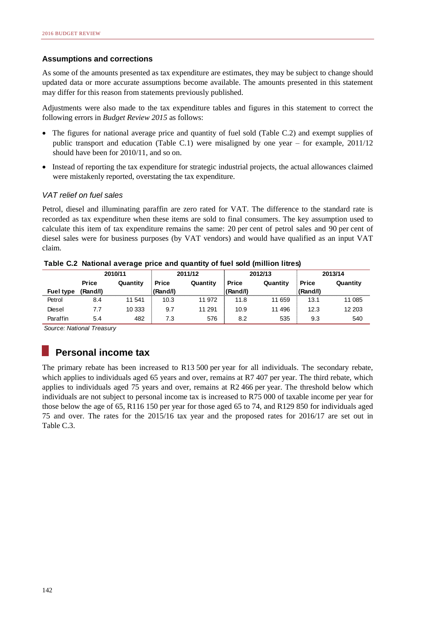#### **Assumptions and corrections**

As some of the amounts presented as tax expenditure are estimates, they may be subject to change should updated data or more accurate assumptions become available. The amounts presented in this statement may differ for this reason from statements previously published.

Adjustments were also made to the tax expenditure tables and figures in this statement to correct the following errors in *Budget Review 2015* as follows:

- The figures for national average price and quantity of fuel sold (Table C.2) and exempt supplies of public transport and education (Table C.1) were misaligned by one year – for example, 2011/12 should have been for 2010/11, and so on.
- Instead of reporting the tax expenditure for strategic industrial projects, the actual allowances claimed were mistakenly reported, overstating the tax expenditure.

#### *VAT relief on fuel sales*

Petrol, diesel and illuminating paraffin are zero rated for VAT. The difference to the standard rate is recorded as tax expenditure when these items are sold to final consumers. The key assumption used to calculate this item of tax expenditure remains the same: 20 per cent of petrol sales and 90 per cent of diesel sales were for business purposes (by VAT vendors) and would have qualified as an input VAT claim.

|                  | 2010/11      |          |              | 2011/12  |              | 2012/13  |              | 2013/14  |
|------------------|--------------|----------|--------------|----------|--------------|----------|--------------|----------|
|                  | <b>Price</b> | Quantity | <b>Price</b> | Quantity | <b>Price</b> | Quantity | <b>Price</b> | Quantity |
| <b>Fuel type</b> | (Rand/I)     |          | (Rand/I)     |          | (Rand/I)     |          | (Rand/I)     |          |
| Petrol           | 8.4          | 11 541   | 10.3         | 11 972   | 11.8         | 11 659   | 13.1         | 11 085   |
| Diesel           | 7.7          | 10 333   | 9.7          | 11 291   | 10.9         | 11 496   | 12.3         | 12 203   |
| Paraffin         | 5.4          | 482      | 7.3          | 576      | 8.2          | 535      | 9.3          | 540      |

**Table C.2 National average price and quantity of fuel sold (million litres)**

*Source: National Treasury*

#### **Personal income tax**

The primary rebate has been increased to R13 500 per year for all individuals. The secondary rebate, which applies to individuals aged 65 years and over, remains at R7 407 per year. The third rebate, which applies to individuals aged 75 years and over, remains at R2 466 per year. The threshold below which individuals are not subject to personal income tax is increased to R75 000 of taxable income per year for those below the age of 65, R116 150 per year for those aged 65 to 74, and R129 850 for individuals aged 75 and over. The rates for the 2015/16 tax year and the proposed rates for 2016/17 are set out in Table C.3.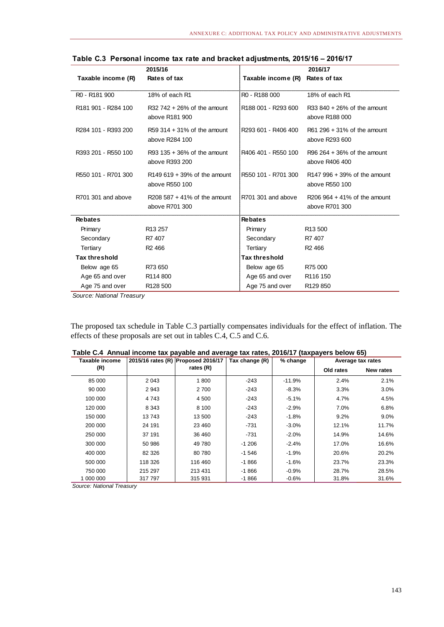|                                             | 2015/16                                         |                      | 2016/17                                           |
|---------------------------------------------|-------------------------------------------------|----------------------|---------------------------------------------------|
| Taxable income (R)                          | Rates of tax                                    | Taxable income (R)   | Rates of tax                                      |
| R <sub>0</sub> - R <sub>181</sub> 900       | 18% of each R1                                  | R0 - R188 000        | 18% of each R1                                    |
| R <sub>181</sub> 901 - R <sub>284</sub> 100 | $R32742 + 26%$ of the amount<br>above R181 900  | R188 001 - R293 600  | $R33840 + 26%$ of the amount<br>above R188 000    |
| R284 101 - R393 200                         | $R59.314 + 31%$ of the amount<br>above R284 100 | R293 601 - R406 400  | $R61 296 + 31%$ of the amount<br>above R293 600   |
| R393 201 - R550 100                         | $R93$ 135 + 36% of the amount<br>above R393 200 | R406 401 - R550 100  | R96 $264 + 36%$ of the amount<br>above R406 400   |
| R550 101 - R701 300                         | $R149619 + 39%$ of the amount<br>above R550 100 | R550 101 - R701 300  | $R147996 + 39%$ of the amount<br>above R550 100   |
| R701 301 and above                          | R208 587 + 41% of the amount<br>above R701 300  | R701 301 and above   | R206 $964 + 41\%$ of the amount<br>above R701 300 |
| <b>Rebates</b>                              |                                                 | <b>Rebates</b>       |                                                   |
| Primary                                     | R <sub>13</sub> 257                             | Primary              | R <sub>13</sub> 500                               |
| Secondary                                   | R7 407                                          | Secondary            | R7 407                                            |
| Tertiary                                    | R <sub>2</sub> 466                              | Tertiary             | R <sub>2</sub> 466                                |
| <b>Tax threshold</b>                        |                                                 | <b>Tax threshold</b> |                                                   |
| Below age 65                                | R73 650                                         | Below age 65         | R75 000                                           |
| Age 65 and over                             | R114 800                                        | Age 65 and over      | R <sub>116</sub> 150                              |
| Age 75 and over                             | R128 500                                        | Age 75 and over      | R129 850                                          |

**Table C.3 Personal income tax rate and bracket adjustments, 2015/16 – 2016/17**

*Source: National Treasury*

The proposed tax schedule in Table C.3 partially compensates individuals for the effect of inflation. The effects of these proposals are set out in tables C.4, C.5 and C.6.

| Taxable income |         | 2015/16 rates (R) Proposed 2016/17 | Tax change (R) | % change |           | Average tax rates |
|----------------|---------|------------------------------------|----------------|----------|-----------|-------------------|
| (R)            |         | rates $(R)$                        |                |          | Old rates | New rates         |
| 85 000         | 2 0 4 3 | 1800                               | $-243$         | $-11.9%$ | 2.4%      | 2.1%              |
| 90 000         | 2943    | 2 700                              | $-243$         | $-8.3\%$ | 3.3%      | $3.0\%$           |
| 100 000        | 4743    | 4 500                              | $-243$         | $-5.1%$  | 4.7%      | 4.5%              |
| 120 000        | 8 3 4 3 | 8 100                              | $-243$         | $-2.9%$  | 7.0%      | 6.8%              |
| 150 000        | 13743   | 13 500                             | $-243$         | $-1.8%$  | 9.2%      | $9.0\%$           |
| 200 000        | 24 191  | 23 460                             | $-731$         | $-3.0\%$ | 12.1%     | 11.7%             |
| 250 000        | 37 191  | 36 460                             | -731           | $-2.0%$  | 14.9%     | 14.6%             |
| 300 000        | 50 986  | 49 780                             | $-1206$        | $-2.4%$  | 17.0%     | 16.6%             |
| 400 000        | 82 3 26 | 80 780                             | $-1546$        | $-1.9%$  | 20.6%     | 20.2%             |
| 500 000        | 118 326 | 116 460                            | $-1866$        | $-1.6%$  | 23.7%     | 23.3%             |
| 750 000        | 215 297 | 213 431                            | $-1866$        | $-0.9%$  | 28.7%     | 28.5%             |
| 1 000 000      | 317 797 | 315 931                            | $-1866$        | $-0.6%$  | 31.8%     | 31.6%             |

*Source: National Treasury*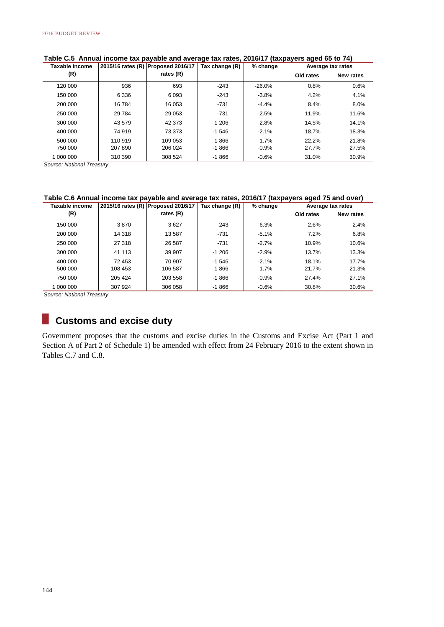| Taxable income |                    |         | 2015/16 rates (R) Proposed 2016/17 | Tax change (R) | % change | Average tax rates |           |
|----------------|--------------------|---------|------------------------------------|----------------|----------|-------------------|-----------|
|                | (R)                |         | rates (R)                          |                |          | Old rates         | New rates |
|                | 120 000            | 936     | 693                                | $-243$         | $-26.0%$ | 0.8%              | 0.6%      |
|                | 150 000            | 6 3 3 6 | 6093                               | $-243$         | $-3.8%$  | 4.2%              | 4.1%      |
|                | 200 000            | 16784   | 16 053                             | $-731$         | $-4.4%$  | 8.4%              | 8.0%      |
|                | 250 000            | 29 7 84 | 29 0 53                            | $-731$         | $-2.5%$  | 11.9%             | 11.6%     |
|                | 300 000            | 43 579  | 42 373                             | $-1206$        | $-2.8%$  | 14.5%             | 14.1%     |
|                | 400 000            | 74 919  | 73 373                             | $-1546$        | $-2.1%$  | 18.7%             | 18.3%     |
|                | 500 000            | 110 919 | 109 053                            | $-1866$        | $-1.7%$  | 22.2%             | 21.8%     |
|                | 750 000            | 207 890 | 206 024                            | $-1866$        | $-0.9%$  | 27.7%             | 27.5%     |
|                | 1 000 000          | 310 390 | 308 524                            | $-1866$        | $-0.6%$  | 31.0%             | 30.9%     |
|                | $\sim$<br>$\cdots$ |         |                                    |                |          |                   |           |

#### **Table C.5 Annual income tax payable and average tax rates, 2016/17 (taxpayers aged 65 to 74)**

*Source: National Treasury*

#### **Table C.6 Annual income tax payable and average tax rates, 2016/17 (taxpayers aged 75 and over)**

| Taxable income |         | 2015/16 rates (R) Proposed 2016/17 | Tax change (R) | % change | Average tax rates |           |
|----------------|---------|------------------------------------|----------------|----------|-------------------|-----------|
| (R)            |         | rates (R)                          |                |          | Old rates         | New rates |
| 150 000        | 3870    | 3627                               | $-243$         | $-6.3%$  | 2.6%              | 2.4%      |
| 200 000        | 14 318  | 13 587                             | $-731$         | $-5.1%$  | 7.2%              | 6.8%      |
| 250 000        | 27 318  | 26 587                             | -731           | $-2.7%$  | 10.9%             | 10.6%     |
| 300 000        | 41 113  | 39 907                             | $-1206$        | $-2.9%$  | 13.7%             | 13.3%     |
| 400 000        | 72 453  | 70 907                             | $-1,546$       | $-2.1%$  | 18.1%             | 17.7%     |
| 500 000        | 108 453 | 106 587                            | $-1866$        | $-1.7%$  | 21.7%             | 21.3%     |
| 750 000        | 205 424 | 203 558                            | $-1866$        | $-0.9%$  | 27.4%             | 27.1%     |
| 1 000 000      | 307 924 | 306 058                            | $-1866$        | $-0.6%$  | 30.8%             | 30.6%     |

*Source: National Treasury*

#### **Customs and excise duty**

Government proposes that the customs and excise duties in the Customs and Excise Act (Part 1 and Section A of Part 2 of Schedule 1) be amended with effect from 24 February 2016 to the extent shown in Tables C.7 and C.8.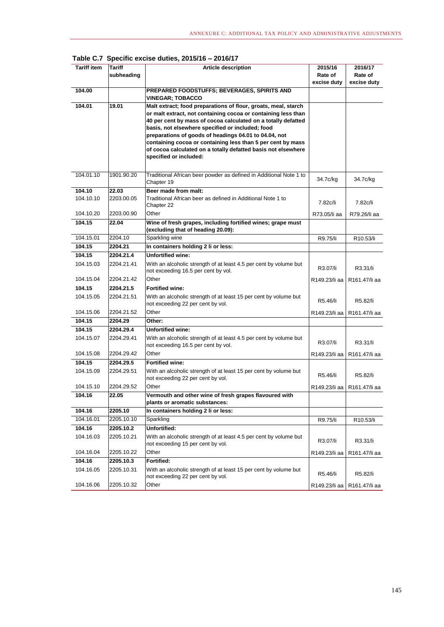| <b>Tariff item</b>  | Tariff<br>subheading    | <b>Article description</b>                                                                                                                                                                                                                                                                                                                                                                                                                                              | 2015/16<br>Rate of<br>excise duty | 2016/17<br>Rate of<br>excise duty |
|---------------------|-------------------------|-------------------------------------------------------------------------------------------------------------------------------------------------------------------------------------------------------------------------------------------------------------------------------------------------------------------------------------------------------------------------------------------------------------------------------------------------------------------------|-----------------------------------|-----------------------------------|
| 104.00              |                         | PREPARED FOODSTUFFS; BEVERAGES, SPIRITS AND<br><b>VINEGAR; TOBACCO</b>                                                                                                                                                                                                                                                                                                                                                                                                  |                                   |                                   |
| 104.01              | 19.01                   | Malt extract; food preparations of flour, groats, meal, starch<br>or malt extract, not containing cocoa or containing less than<br>40 per cent by mass of cocoa calculated on a totally defatted<br>basis, not elsewhere specified or included; food<br>preparations of goods of headings 04.01 to 04.04, not<br>containing cocoa or containing less than 5 per cent by mass<br>of cocoa calculated on a totally defatted basis not elsewhere<br>specified or included: |                                   |                                   |
| 104.01.10           | 1901.90.20              | Traditional African beer powder as defined in Additional Note 1 to<br>Chapter 19                                                                                                                                                                                                                                                                                                                                                                                        | 34.7c/kg                          | 34.7c/kg                          |
| 104.10<br>104.10.10 | 22.03<br>2203.00.05     | Beer made from malt:<br>Traditional African beer as defined in Additional Note 1 to<br>Chapter 22                                                                                                                                                                                                                                                                                                                                                                       | 7.82c/li                          | 7.82c/li                          |
| 104.10.20<br>104.15 | 2203.00.90<br>22.04     | Other<br>Wine of fresh grapes, including fortified wines; grape must                                                                                                                                                                                                                                                                                                                                                                                                    | R73.05/li aa                      | R79.26/li aa                      |
|                     |                         | (excluding that of heading 20.09):                                                                                                                                                                                                                                                                                                                                                                                                                                      |                                   |                                   |
| 104.15.01           | 2204.10                 | Sparkling wine                                                                                                                                                                                                                                                                                                                                                                                                                                                          | R9.75/li                          | R10.53/li                         |
| 104.15              | 2204.21                 | In containers holding 2 li or less:                                                                                                                                                                                                                                                                                                                                                                                                                                     |                                   |                                   |
| 104.15              | 2204.21.4               | <b>Unfortified wine:</b>                                                                                                                                                                                                                                                                                                                                                                                                                                                |                                   |                                   |
| 104.15.03           | 2204.21.41              | With an alcoholic strength of at least 4.5 per cent by volume but<br>not exceeding 16.5 per cent by vol.                                                                                                                                                                                                                                                                                                                                                                | R3.07/li                          | R3.31/li                          |
| 104.15.04           | 2204.21.42              | Other                                                                                                                                                                                                                                                                                                                                                                                                                                                                   | R149.23/li aa                     | R161.47/li aa                     |
| 104.15              | 2204.21.5               | <b>Fortified wine:</b>                                                                                                                                                                                                                                                                                                                                                                                                                                                  |                                   |                                   |
| 104.15.05           | 2204.21.51              | With an alcoholic strength of at least 15 per cent by volume but<br>not exceeding 22 per cent by vol.                                                                                                                                                                                                                                                                                                                                                                   | R5.46/li                          | R5.82/li                          |
| 104.15.06           | 2204.21.52              | Other                                                                                                                                                                                                                                                                                                                                                                                                                                                                   | R149.23/li aa                     | R161.47/li aa                     |
| 104.15              | 2204.29                 | Other:                                                                                                                                                                                                                                                                                                                                                                                                                                                                  |                                   |                                   |
| 104.15              | 2204.29.4               | <b>Unfortified wine:</b>                                                                                                                                                                                                                                                                                                                                                                                                                                                |                                   |                                   |
| 104.15.07           | 2204.29.41              | With an alcoholic strength of at least 4.5 per cent by volume but<br>not exceeding 16.5 per cent by vol.                                                                                                                                                                                                                                                                                                                                                                | R3.07/li                          | R3.31/li                          |
| 104.15.08           | 2204.29.42              | Other                                                                                                                                                                                                                                                                                                                                                                                                                                                                   | R149.23/li aa                     | R161.47/li aa                     |
| 104.15<br>104.15.09 | 2204.29.5<br>2204.29.51 | <b>Fortified wine:</b><br>With an alcoholic strength of at least 15 per cent by volume but<br>not exceeding 22 per cent by vol.                                                                                                                                                                                                                                                                                                                                         | R5.46/li                          | R5.82/li                          |
| 104.15.10           | 2204.29.52              | Other                                                                                                                                                                                                                                                                                                                                                                                                                                                                   | R149.23/li aa                     | R161.47/li aa                     |
| 104.16              | 22.05                   | Vermouth and other wine of fresh grapes flavoured with<br>plants or aromatic substances:                                                                                                                                                                                                                                                                                                                                                                                |                                   |                                   |
| 104.16              | 2205.10                 | In containers holding 2 li or less:                                                                                                                                                                                                                                                                                                                                                                                                                                     |                                   |                                   |
| 104.16.01           | 2205.10.10              | Sparkling                                                                                                                                                                                                                                                                                                                                                                                                                                                               | R9.75/li                          | R10.53/li                         |
| 104.16              | 2205.10.2               | Unfortified:                                                                                                                                                                                                                                                                                                                                                                                                                                                            |                                   |                                   |
| 104.16.03           | 2205.10.21              | With an alcoholic strength of at least 4.5 per cent by volume but<br>not exceeding 15 per cent by vol.                                                                                                                                                                                                                                                                                                                                                                  | R3.07/li                          | R3.31/li                          |
| 104.16.04           | 2205.10.22              | Other                                                                                                                                                                                                                                                                                                                                                                                                                                                                   | R149.23/li aa                     | R161.47/li aa                     |
| 104.16              | 2205.10.3               | Fortified:                                                                                                                                                                                                                                                                                                                                                                                                                                                              |                                   |                                   |
| 104.16.05           | 2205.10.31              | With an alcoholic strength of at least 15 per cent by volume but<br>not exceeding 22 per cent by vol.                                                                                                                                                                                                                                                                                                                                                                   | R5.46/li                          | R5.82/li                          |
| 104.16.06           | 2205.10.32              | Other                                                                                                                                                                                                                                                                                                                                                                                                                                                                   | R149.23/li aa                     | R161.47/li aa                     |

**Table C.7 Specific excise duties, 2015/16 – 2016/17**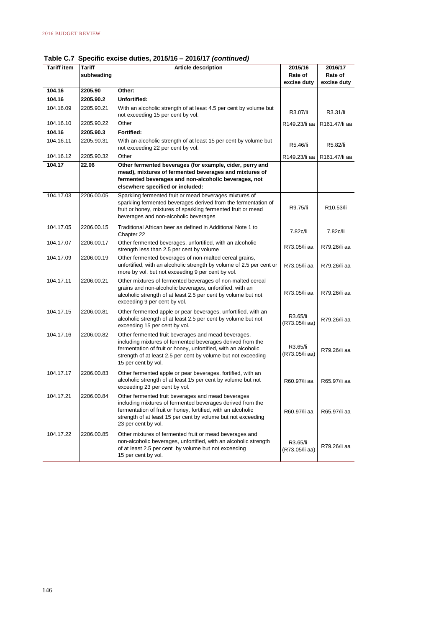| <b>Tariff item</b> | Tariff     | <b>Article description</b>                                                                                                                                                                                                                                                  | 2015/16                    | 2016/17                |
|--------------------|------------|-----------------------------------------------------------------------------------------------------------------------------------------------------------------------------------------------------------------------------------------------------------------------------|----------------------------|------------------------|
|                    | subheading |                                                                                                                                                                                                                                                                             | Rate of<br>excise duty     | Rate of<br>excise duty |
| 104.16             | 2205.90    | Other:                                                                                                                                                                                                                                                                      |                            |                        |
| 104.16             | 2205.90.2  | Unfortified:                                                                                                                                                                                                                                                                |                            |                        |
| 104.16.09          | 2205.90.21 | With an alcoholic strength of at least 4.5 per cent by volume but<br>not exceeding 15 per cent by vol.                                                                                                                                                                      | R3.07/li                   | R3.31/li               |
| 104.16.10          | 2205.90.22 | Other                                                                                                                                                                                                                                                                       | R149.23/li aa              | R161.47/li aa          |
| 104.16             | 2205.90.3  | Fortified:                                                                                                                                                                                                                                                                  |                            |                        |
| 104.16.11          | 2205.90.31 | With an alcoholic strength of at least 15 per cent by volume but<br>not exceeding 22 per cent by vol.                                                                                                                                                                       | R5.46/li                   | R5.82/li               |
| 104.16.12          | 2205.90.32 | Other                                                                                                                                                                                                                                                                       | R149.23/li aa              | R161.47/li aa          |
| 104.17             | 22.06      | Other fermented beverages (for example, cider, perry and<br>mead), mixtures of fermented beverages and mixtures of<br>fermented beverages and non-alcoholic beverages, not<br>elsewhere specified or included:                                                              |                            |                        |
| 104.17.03          | 2206.00.05 | Sparkling fermented fruit or mead beverages mixtures of<br>sparkling fermented beverages derived from the fermentation of<br>fruit or honey, mixtures of sparkling fermented fruit or mead<br>beverages and non-alcoholic beverages                                         | R9.75/li                   | R10.53/li              |
| 104.17.05          | 2206.00.15 | Traditional African beer as defined in Additional Note 1 to<br>Chapter 22                                                                                                                                                                                                   | 7.82c/li                   | 7.82c/li               |
| 104.17.07          | 2206.00.17 | Other fermented beverages, unfortified, with an alcoholic<br>strength less than 2.5 per cent by volume                                                                                                                                                                      | R73.05/li aa               | R79.26/li aa           |
| 104.17.09          | 2206.00.19 | Other fermented beverages of non-malted cereal grains,<br>unfortified, with an alcoholic strength by volume of 2.5 per cent or<br>more by vol. but not exceeding 9 per cent by vol.                                                                                         | R73.05/li aa               | R79.26/li aa           |
| 104.17.11          | 2206.00.21 | Other mixtures of fermented beverages of non-malted cereal<br>grains and non-alcoholic beverages, unfortified, with an<br>alcoholic strength of at least 2.5 per cent by volume but not<br>exceeding 9 per cent by vol.                                                     | R73.05/li aa               | R79.26/li aa           |
| 104.17.15          | 2206.00.81 | Other fermented apple or pear beverages, unfortified, with an<br>alcoholic strength of at least 2.5 per cent by volume but not<br>exceeding 15 per cent by vol.                                                                                                             | R3.65/li<br>(R73.05/li aa) | R79.26/li aa           |
| 104.17.16          | 2206.00.82 | Other fermented fruit beverages and mead beverages,<br>including mixtures of fermented beverages derived from the<br>fermentation of fruit or honey, unfortified, with an alcoholic<br>strength of at least 2.5 per cent by volume but not exceeding<br>15 per cent by vol. | R3.65/li<br>(R73.05/li aa) | R79.26/li aa           |
| 104.17.17          | 2206.00.83 | Other fermented apple or pear beverages, fortified, with an<br>alcoholic strength of at least 15 per cent by volume but not<br>exceeding 23 per cent by vol.                                                                                                                | R60.97/li aa               | R65.97/li aa           |
| 104.17.21          | 2206.00.84 | Other fermented fruit beverages and mead beverages<br>including mixtures of fermented beverages derived from the<br>fermentation of fruit or honey, fortified, with an alcoholic<br>strength of at least 15 per cent by volume but not exceeding<br>23 per cent by vol.     | R60.97/li aa               | R65.97/li aa           |
| 104.17.22          | 2206.00.85 | Other mixtures of fermented fruit or mead beverages and<br>non-alcoholic beverages, unfortified, with an alcoholic strength<br>of at least 2.5 per cent by volume but not exceeding<br>15 per cent by vol.                                                                  | R3.65/li<br>(R73.05/li aa) | R79.26/li aa           |

**Table C.7 Specific excise duties, 2015/16 – 2016/17** *(continued)*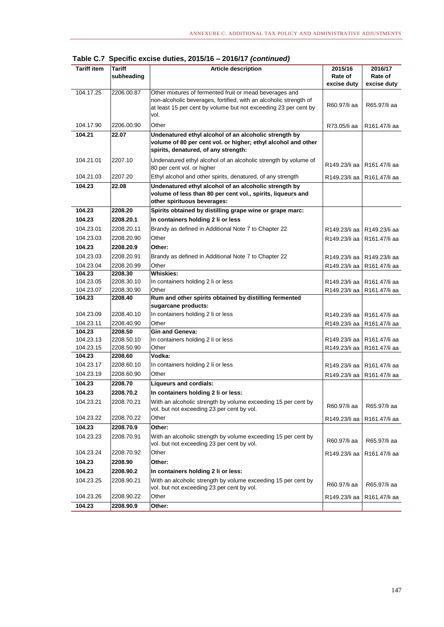| <b>Tariff item</b> | Tariff<br>subheading | <b>Article description</b>                                                                                                                                                                              | 2015/16<br>Rate of<br>excise duty | 2016/17<br>Rate of<br>excise duty |
|--------------------|----------------------|---------------------------------------------------------------------------------------------------------------------------------------------------------------------------------------------------------|-----------------------------------|-----------------------------------|
| 104.17.25          | 2206.00.87           | Other mixtures of fermented fruit or mead beverages and<br>non-alcoholic beverages, fortified, with an alcoholic strength of<br>at least 15 per cent by volume but not exceeding 23 per cent by<br>vol. | R60.97/li aa                      | R65.97/li aa                      |
| 104.17.90          | 2206.00.90           | Other                                                                                                                                                                                                   | R73.05/li aa                      | R161.47/li aa                     |
| 104.21             | 22.07                | Undenatured ethyl alcohol of an alcoholic strength by<br>volume of 80 per cent vol. or higher; ethyl alcohol and other<br>spirits, denatured, of any strength:                                          |                                   |                                   |
| 104.21.01          | 2207.10              | Undenatured ethyl alcohol of an alcoholic strength by volume of<br>80 per cent vol. or higher                                                                                                           | R149.23/li aa                     | R161.47/li aa                     |
| 104.21.03          | 2207.20              | Ethyl alcohol and other spirits, denatured, of any strength                                                                                                                                             | R149.23/li aa                     | R161.47/li aa                     |
| 104.23             | 22.08                | Undenatured ethyl alcohol of an alcoholic strength by<br>volume of less than 80 per cent vol., spirits, liqueurs and<br>other spirituous beverages:                                                     |                                   |                                   |
| 104.23             | 2208.20              | Spirits obtained by distilling grape wine or grape marc:                                                                                                                                                |                                   |                                   |
| 104.23             | 2208.20.1            | In containers holding 2 li or less                                                                                                                                                                      |                                   |                                   |
| 104.23.01          | 2208.20.11           | Brandy as defined in Additional Note 7 to Chapter 22                                                                                                                                                    | R149.23/li aa                     | R149.23/li aa                     |
| 104.23.03          | 2208.20.90           | Other                                                                                                                                                                                                   | R149.23/li aa                     | R161.47/li aa                     |
| 104.23             | 2208.20.9            | Other:                                                                                                                                                                                                  |                                   |                                   |
| 104.23.03          | 2208.20.91           | Brandy as defined in Additional Note 7 to Chapter 22                                                                                                                                                    | R149.23/li aa                     | R149.23/li aa                     |
| 104.23.04          | 2208.20.99           | Other                                                                                                                                                                                                   | R149.23/li aa                     | R161.47/li aa                     |
| 104.23             | 2208.30              | <b>Whiskies:</b>                                                                                                                                                                                        |                                   |                                   |
| 104.23.05          | 2208.30.10           | In containers holding 2 li or less                                                                                                                                                                      | R149.23/li aa                     | R161.47/li aa                     |
| 104.23.07          | 2208.30.90           | Other                                                                                                                                                                                                   | R149.23/li aa                     | R161.47/li aa                     |
| 104.23             | 2208.40              | Rum and other spirits obtained by distilling fermented<br>sugarcane products:                                                                                                                           |                                   |                                   |
| 104.23.09          | 2208.40.10           | In containers holding 2 li or less                                                                                                                                                                      | R149.23/li aa                     | R161.47/li aa                     |
| 104.23.11          | 2208.40.90           | Other                                                                                                                                                                                                   | R149.23/li aa                     | R161.47/li aa                     |
| 104.23             | 2208.50              | <b>Gin and Geneva:</b>                                                                                                                                                                                  |                                   |                                   |
| 104.23.13          | 2208.50.10           | In containers holding 2 li or less                                                                                                                                                                      | R149.23/li aa                     | R161.47/li aa                     |
| 104.23.15          | 2208.50.90           | Other                                                                                                                                                                                                   | R149.23/li aa                     | R161.47/li aa                     |
| 104.23             | 2208.60              | Vodka:                                                                                                                                                                                                  |                                   |                                   |
| 104.23.17          | 2208.60.10           | In containers holding 2 li or less                                                                                                                                                                      | R149.23/li aa                     | R161.47/li aa                     |
| 104.23.19          | 2208.60.90           | Other                                                                                                                                                                                                   | R149.23/li aa                     | R161.47/li aa                     |
| 104.23             | 2208.70              | <b>Liqueurs and cordials:</b>                                                                                                                                                                           |                                   |                                   |
| 104.23             | 2208.70.2            | In containers holding 2 li or less:                                                                                                                                                                     |                                   |                                   |
| 104.23.21          | 2208.70.21           | With an alcoholic strength by volume exceeding 15 per cent by<br>vol. but not exceeding 23 per cent by vol.                                                                                             | R60.97/li aa                      | R65.97/li aa                      |
| 104.23.22          | 2208.70.22           | Other                                                                                                                                                                                                   | R149.23/li aa                     | R161.47/li aa                     |
| 104.23             | 2208.70.9            | Other:                                                                                                                                                                                                  |                                   |                                   |
| 104.23.23          | 2208.70.91           | With an alcoholic strength by volume exceeding 15 per cent by<br>vol. but not exceeding 23 per cent by vol.                                                                                             | R60.97/li aa                      | R65.97/li aa                      |
| 104.23.24          | 2208.70.92           | Other                                                                                                                                                                                                   | R149.23/li aa                     | R161.47/li aa                     |
| 104.23             | 2208.90              | Other:                                                                                                                                                                                                  |                                   |                                   |
| 104.23             | 2208.90.2            | In containers holding 2 li or less:                                                                                                                                                                     |                                   |                                   |
| 104.23.25          | 2208.90.21           | With an alcoholic strength by volume exceeding 15 per cent by<br>vol. but not exceeding 23 per cent by vol.                                                                                             | R60.97/li aa                      | R65.97/li aa                      |
| 104.23.26          | 2208.90.22           | Other                                                                                                                                                                                                   | R149.23/li aa                     | R161.47/li aa                     |
| 104.23             | 2208.90.9            | Other:                                                                                                                                                                                                  |                                   |                                   |

**Table C.7 Specific excise duties, 2015/16 – 2016/17** *(continued)*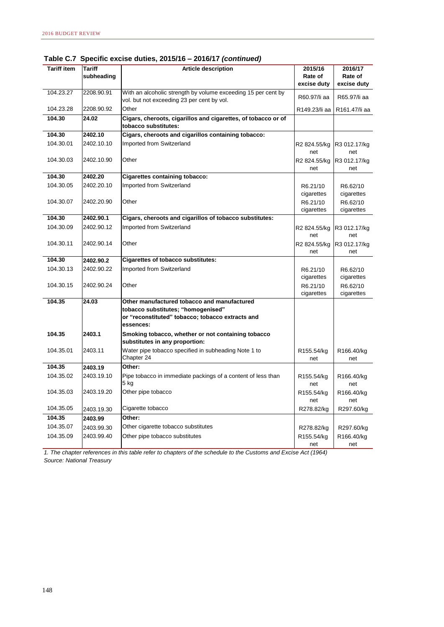| <b>Tariff item</b> | <b>Tariff</b> | <b>Article description</b>                                                                                  | 2015/16                | 2016/17                |
|--------------------|---------------|-------------------------------------------------------------------------------------------------------------|------------------------|------------------------|
|                    | subheading    |                                                                                                             | Rate of                | Rate of                |
|                    |               |                                                                                                             | excise duty            | excise duty            |
| 104.23.27          | 2208.90.91    | With an alcoholic strength by volume exceeding 15 per cent by<br>vol. but not exceeding 23 per cent by vol. | R60.97/li aa           | R65.97/li aa           |
| 104.23.28          | 2208.90.92    | Other                                                                                                       | R149.23/li aa          | R161.47/li aa          |
| 104.30             | 24.02         | Cigars, cheroots, cigarillos and cigarettes, of tobacco or of<br>tobacco substitutes:                       |                        |                        |
| 104.30             | 2402.10       | Cigars, cheroots and cigarillos containing tobacco:                                                         |                        |                        |
| 104.30.01          | 2402.10.10    | Imported from Switzerland                                                                                   | R2 824.55/kg<br>net    | R3 012.17/kg<br>net    |
| 104.30.03          | 2402.10.90    | Other                                                                                                       | R2 824.55/kg<br>net    | R3 012.17/kg<br>net    |
| 104.30             | 2402.20       | <b>Cigarettes containing tobacco:</b>                                                                       |                        |                        |
| 104.30.05          | 2402.20.10    | Imported from Switzerland                                                                                   | R6.21/10               | R6.62/10               |
|                    |               |                                                                                                             | cigarettes             | cigarettes             |
| 104.30.07          | 2402.20.90    | Other                                                                                                       | R6.21/10<br>cigarettes | R6.62/10<br>cigarettes |
| 104.30             | 2402.90.1     | Cigars, cheroots and cigarillos of tobacco substitutes:                                                     |                        |                        |
| 104.30.09          | 2402.90.12    | Imported from Switzerland                                                                                   | R2 824.55/kg<br>net    | R3 012.17/kg<br>net    |
| 104.30.11          | 2402.90.14    | Other                                                                                                       | R2 824.55/kg<br>net    | R3 012.17/kg<br>net    |
| 104.30             | 2402.90.2     | <b>Cigarettes of tobacco substitutes:</b>                                                                   |                        |                        |
| 104.30.13          | 2402.90.22    | Imported from Switzerland                                                                                   | R6.21/10<br>cigarettes | R6.62/10<br>cigarettes |
| 104.30.15          | 2402.90.24    | Other                                                                                                       | R6.21/10<br>cigarettes | R6.62/10<br>cigarettes |
| 104.35             | 24.03         | Other manufactured tobacco and manufactured                                                                 |                        |                        |
|                    |               | tobacco substitutes; "homogenised"                                                                          |                        |                        |
|                    |               | or "reconstituted" tobacco; tobacco extracts and<br>essences:                                               |                        |                        |
| 104.35             | 2403.1        | Smoking tobacco, whether or not containing tobacco<br>substitutes in any proportion:                        |                        |                        |
| 104.35.01          | 2403.11       | Water pipe tobacco specified in subheading Note 1 to<br>Chapter 24                                          | R155.54/kg<br>net      | R166.40/kg<br>net      |
| 104.35             | 2403.19       | Other:                                                                                                      |                        |                        |
| 104.35.02          | 2403.19.10    | Pipe tobacco in immediate packings of a content of less than<br>5 kg                                        | R155.54/kg<br>net      | R166.40/kg<br>net      |
| 104.35.03          | 2403.19.20    | Other pipe tobacco                                                                                          | R155.54/kg<br>net      | R166.40/kg<br>net      |
| 104.35.05          | 2403.19.30    | Cigarette tobacco                                                                                           | R278.82/kg             | R297.60/kg             |
| 104.35             | 2403.99       | Other:                                                                                                      |                        |                        |
| 104.35.07          | 2403.99.30    | Other cigarette tobacco substitutes                                                                         | R278.82/kg             | R297.60/kg             |
| 104.35.09          | 2403.99.40    | Other pipe tobacco substitutes                                                                              | R155.54/kg             | R166.40/kg             |
|                    |               |                                                                                                             | net                    | net                    |

**Table C.7 Specific excise duties, 2015/16 – 2016/17** *(continued)*

*1. The chapter references in this table refer to chapters of the schedule to the Customs and Excise Act (1964) Source: National Treasury*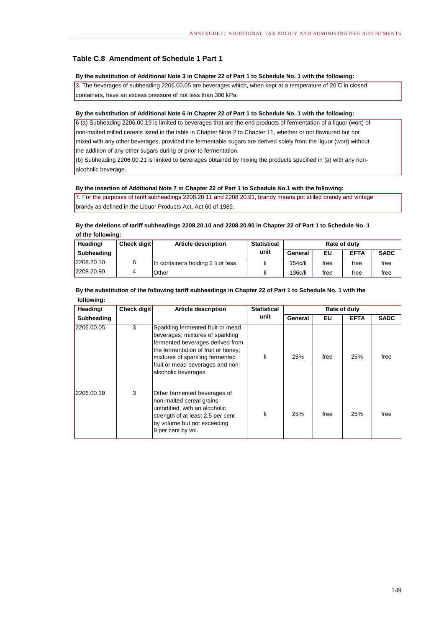#### **Table C.8 Amendment of Schedule 1 Part 1**

#### **By the substitution of Additional Note 3 in Chapter 22 of Part 1 to Schedule No. 1 with the following:**

3. The beverages of subheading 2206.00.05 are beverages which, when kept at a temperature of 20 ̊C in closed containers, have an excess pressure of not less than 300 kPa.

#### **By the substitution of Additional Note 6 in Chapter 22 of Part 1 to Schedule No. 1 with the following:**

6 (a) Subheading 2206.00.19 is limited to beverages that are the end products of fermentation of a liquor (wort) of non-malted milled cereals listed in the table in Chapter Note 2 to Chapter 11, whether or not flavoured but not mixed with any other beverages, provided the fermentable sugars are derived solely from the liquor (wort) without the addition of any other sugars during or prior to fermentation.

alcoholic beverage. (b) Subheading 2206.00.21 is limited to beverages obtained by mixing the products specified in (a) with any non-

#### **By the insertion of Additional Note 7 in Chapter 22 of Part 1 to Schedule No.1 with the following:**

7. For the purposes of tariff subheadings 2208.20.11 and 2208.20.91, brandy means pot stilled brandy and vintage brandy as defined in the Liquor Products Act, Act 60 of 1989.

#### **of the following: By the deletions of tariff subheadings 2208.20.10 and 2208.20.90 in Chapter 22 of Part 1 to Schedule No. 1**

| Heading/   | <b>Check digit</b> | <b>Article description</b>         | <b>Statistical</b> | Rate of duty |      |             |             |
|------------|--------------------|------------------------------------|--------------------|--------------|------|-------------|-------------|
| Subheading |                    |                                    | unit               | General      | EU   | <b>EFTA</b> | <b>SADC</b> |
| 2208.20.10 |                    | In containers holding 2 li or less |                    | 154c/li      | free | free        | free        |
| 2208.20.90 |                    | Other                              |                    | 136c/li      | free | free        | free        |

#### **By the substitution of the following tariff subheadings in Chapter 22 of Part 1 to Schedule No. 1 with the following:**

| Heading/   | Check digit | <b>Article description</b>                                                                                                                                                                                                                     | <b>Statistical</b> | Rate of duty |      |             |             |
|------------|-------------|------------------------------------------------------------------------------------------------------------------------------------------------------------------------------------------------------------------------------------------------|--------------------|--------------|------|-------------|-------------|
| Subheading |             |                                                                                                                                                                                                                                                | unit               | General      | EU   | <b>EFTA</b> | <b>SADC</b> |
| 2206.00.05 | 3           | Sparkling fermented fruit or mead<br>beverages; mixtures of sparkling<br>fermented beverages derived from<br>the fermentation of fruit or honey;<br>mixtures of sparkling fermented<br>fruit or mead beverages and non-<br>alcoholic beverages | li                 | 25%          | free | 25%         | free        |
| 2206.00.19 | 3           | Other fermented beverages of<br>non-malted cereal grains,<br>unfortified, with an alcoholic<br>strength of at least 2.5 per cent<br>by volume but not exceeding<br>9 per cent by vol.                                                          | li                 | 25%          | free | 25%         | free        |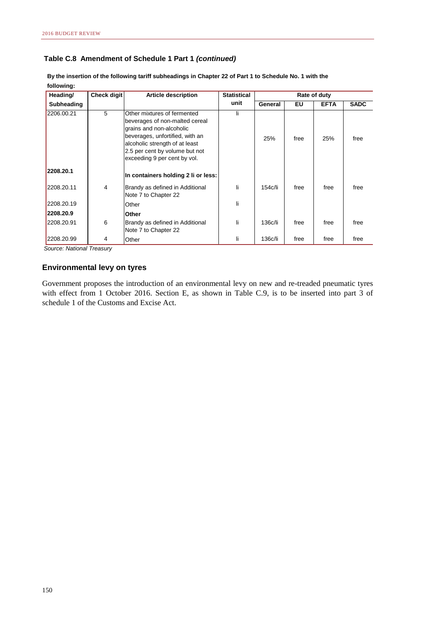#### **Table C.8 Amendment of Schedule 1 Part 1** *(continued)*

| Heading/   | Check digit | <b>Article description</b>                                                                                                                                                                                                       | <b>Statistical</b> | Rate of duty |      |             |             |
|------------|-------------|----------------------------------------------------------------------------------------------------------------------------------------------------------------------------------------------------------------------------------|--------------------|--------------|------|-------------|-------------|
| Subheading |             |                                                                                                                                                                                                                                  | unit               | General      | EU   | <b>EFTA</b> | <b>SADC</b> |
| 2206.00.21 | 5           | Other mixtures of fermented<br>beverages of non-malted cereal<br>grains and non-alcoholic<br>beverages, unfortified, with an<br>alcoholic strength of at least<br>2.5 per cent by volume but not<br>exceeding 9 per cent by vol. | li                 | 25%          | free | 25%         | free        |
| 2208.20.1  |             | In containers holding 2 li or less:                                                                                                                                                                                              |                    |              |      |             |             |
| 2208.20.11 | 4           | Brandy as defined in Additional<br>Note 7 to Chapter 22                                                                                                                                                                          | li                 | 154c/li      | free | free        | free        |
| 2208.20.19 |             | Other                                                                                                                                                                                                                            | li                 |              |      |             |             |
| 2208.20.9  |             | ∣Other                                                                                                                                                                                                                           |                    |              |      |             |             |
| 2208.20.91 | 6           | Brandy as defined in Additional<br>Note 7 to Chapter 22                                                                                                                                                                          | li                 | 136c/li      | free | free        | free        |
| 2208.20.99 | 4           | Other                                                                                                                                                                                                                            | li                 | 136c/li      | free | free        | free        |

**By the insertion of the following tariff subheadings in Chapter 22 of Part 1 to Schedule No. 1 with the following:**

*Source: National Treasury*

#### **Environmental levy on tyres**

Government proposes the introduction of an environmental levy on new and re-treaded pneumatic tyres with effect from 1 October 2016. Section E, as shown in Table C.9, is to be inserted into part 3 of schedule 1 of the Customs and Excise Act.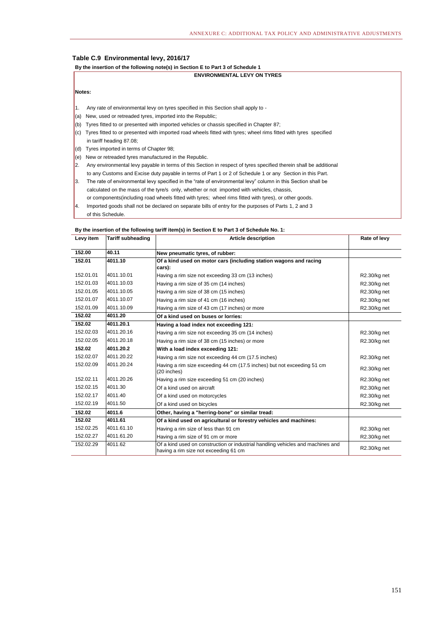#### **Table C.9 Environmental levy, 2016/17**

#### **By the insertion of the following note(s) in Section E to Part 3 of Schedule 1**

|     | <b>ENVIRONMENTAL LEVY ON TYRES</b>                                                                                |  |  |  |  |  |  |
|-----|-------------------------------------------------------------------------------------------------------------------|--|--|--|--|--|--|
|     | Notes:                                                                                                            |  |  |  |  |  |  |
|     |                                                                                                                   |  |  |  |  |  |  |
| 11. | Any rate of environmental levy on tyres specified in this Section shall apply to -                                |  |  |  |  |  |  |
| (a) | New, used or retreaded tyres, imported into the Republic;                                                         |  |  |  |  |  |  |
| (b) | Tyres fitted to or presented with imported vehicles or chassis specified in Chapter 87;                           |  |  |  |  |  |  |
| (c) | Tyres fitted to or presented with imported road wheels fitted with tyres; wheel rims fitted with tyres specified  |  |  |  |  |  |  |
|     | in tariff heading 87.08;                                                                                          |  |  |  |  |  |  |
| (d) | Tyres imported in terms of Chapter 98;                                                                            |  |  |  |  |  |  |
| (e) | New or retreaded tyres manufactured in the Republic.                                                              |  |  |  |  |  |  |
| I2. | Any environmental levy payable in terms of this Section in respect of tyres specified therein shall be additional |  |  |  |  |  |  |
|     | to any Customs and Excise duty payable in terms of Part 1 or 2 of Schedule 1 or any Section in this Part.         |  |  |  |  |  |  |
| 13. | The rate of environmental levy specified in the "rate of environmental levy" column in this Section shall be      |  |  |  |  |  |  |
|     | calculated on the mass of the tyre/s only, whether or not imported with vehicles, chassis,                        |  |  |  |  |  |  |
|     | or components (including road wheels fitted with tyres; wheel rims fitted with tyres), or other goods.            |  |  |  |  |  |  |
| 14. | Imported goods shall not be declared on separate bills of entry for the purposes of Parts 1, 2 and 3              |  |  |  |  |  |  |

of this Schedule.

#### **By the insertion of the following tariff item(s) in Section E to Part 3 of Schedule No. 1:**

| Levy item | <b>Tariff subheading</b> | <b>Article description</b>                                                                                               | Rate of levy |
|-----------|--------------------------|--------------------------------------------------------------------------------------------------------------------------|--------------|
| 152.00    | 40.11                    | New pneumatic tyres, of rubber:                                                                                          |              |
| 152.01    | 4011.10                  | Of a kind used on motor cars (including station wagons and racing                                                        |              |
|           |                          | cars):                                                                                                                   |              |
| 152.01.01 | 4011.10.01               | Having a rim size not exceeding 33 cm (13 inches)                                                                        | R2.30/kg net |
| 152.01.03 | 4011.10.03               | Having a rim size of 35 cm (14 inches)                                                                                   | R2.30/kg net |
| 152.01.05 | 4011.10.05               | Having a rim size of 38 cm (15 inches)                                                                                   | R2.30/kg net |
| 152.01.07 | 4011.10.07               | Having a rim size of 41 cm (16 inches)                                                                                   | R2.30/kg net |
| 152.01.09 | 4011.10.09               | Having a rim size of 43 cm (17 inches) or more                                                                           | R2.30/kg net |
| 152.02    | 4011.20                  | Of a kind used on buses or lorries:                                                                                      |              |
| 152.02    | 4011.20.1                | Having a load index not exceeding 121:                                                                                   |              |
| 152.02.03 | 4011.20.16               | Having a rim size not exceeding 35 cm (14 inches)                                                                        | R2.30/kg net |
| 152.02.05 | 4011.20.18               | Having a rim size of 38 cm (15 inches) or more                                                                           | R2.30/kg net |
| 152.02    | 4011.20.2                | With a load index exceeding 121:                                                                                         |              |
| 152.02.07 | 4011.20.22               | Having a rim size not exceeding 44 cm (17.5 inches)                                                                      | R2.30/kg net |
| 152.02.09 | 4011.20.24               | Having a rim size exceeding 44 cm (17.5 inches) but not exceeding 51 cm<br>(20 inches)                                   | R2.30/kg net |
| 152.02.11 | 4011.20.26               | Having a rim size exceeding 51 cm (20 inches)                                                                            | R2.30/kg net |
| 152.02.15 | 4011.30                  | Of a kind used on aircraft                                                                                               | R2.30/kg net |
| 152.02.17 | 4011.40                  | Of a kind used on motorcycles                                                                                            | R2.30/kg net |
| 152.02.19 | 4011.50                  | Of a kind used on bicycles                                                                                               | R2.30/kg net |
| 152.02    | 4011.6                   | Other, having a "herring-bone" or similar tread:                                                                         |              |
| 152.02    | 4011.61                  | Of a kind used on agricultural or forestry vehicles and machines:                                                        |              |
| 152.02.25 | 4011.61.10               | Having a rim size of less than 91 cm                                                                                     | R2.30/kg net |
| 152.02.27 | 4011.61.20               | Having a rim size of 91 cm or more                                                                                       | R2.30/kg net |
| 152.02.29 | 4011.62                  | Of a kind used on construction or industrial handling vehicles and machines and<br>having a rim size not exceeding 61 cm | R2.30/kg net |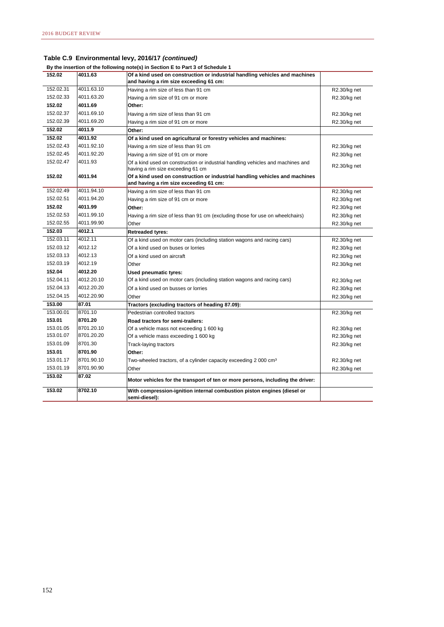**By the insertion of the following note(s) in Section E to Part 3 of Schedule 1**

| 152.02    | 4011.63    | Of a kind used on construction or industrial handling vehicles and machines                                          |              |
|-----------|------------|----------------------------------------------------------------------------------------------------------------------|--------------|
|           |            | and having a rim size exceeding 61 cm:                                                                               |              |
| 152.02.31 | 4011.63.10 | Having a rim size of less than 91 cm                                                                                 | R2.30/kg net |
| 152.02.33 | 4011.63.20 | Having a rim size of 91 cm or more                                                                                   | R2.30/kg net |
| 152.02    | 4011.69    | Other:                                                                                                               |              |
| 152.02.37 | 4011.69.10 | Having a rim size of less than 91 cm                                                                                 | R2.30/kg net |
| 152.02.39 | 4011.69.20 | Having a rim size of 91 cm or more                                                                                   | R2.30/kg net |
| 152.02    | 4011.9     | Other:                                                                                                               |              |
| 152.02    | 4011.92    | Of a kind used on agricultural or forestry vehicles and machines:                                                    |              |
| 152.02.43 | 4011.92.10 | Having a rim size of less than 91 cm                                                                                 | R2.30/kg net |
| 152.02.45 | 4011.92.20 | Having a rim size of 91 cm or more                                                                                   | R2.30/kg net |
| 152.02.47 | 4011.93    | Of a kind used on construction or industrial handling vehicles and machines and<br>having a rim size exceeding 61 cm | R2.30/kg net |
| 152.02    | 4011.94    | Of a kind used on construction or industrial handling vehicles and machines                                          |              |
|           |            | and having a rim size exceeding 61 cm:                                                                               |              |
| 152.02.49 | 4011.94.10 | Having a rim size of less than 91 cm                                                                                 | R2.30/kg net |
| 152.02.51 | 4011.94.20 | Having a rim size of 91 cm or more                                                                                   | R2.30/kg net |
| 152.02    | 4011.99    | Other:                                                                                                               | R2.30/kg net |
| 152.02.53 | 4011.99.10 | Having a rim size of less than 91 cm (excluding those for use on wheelchairs)                                        | R2.30/kg net |
| 152.02.55 | 4011.99.90 | Other                                                                                                                | R2.30/kg net |
| 152.03    | 4012.1     | <b>Retreaded tyres:</b>                                                                                              |              |
| 152.03.11 | 4012.11    | Of a kind used on motor cars (including station wagons and racing cars)                                              | R2.30/kg net |
| 152.03.12 | 4012.12    | Of a kind used on buses or lorries                                                                                   | R2.30/kg net |
| 152.03.13 | 4012.13    | Of a kind used on aircraft                                                                                           | R2.30/kg net |
| 152.03.19 | 4012.19    | Other                                                                                                                | R2.30/kg net |
| 152.04    | 4012.20    | Used pneumatic tyres:                                                                                                |              |
| 152.04.11 | 4012.20.10 | Of a kind used on motor cars (including station wagons and racing cars)                                              | R2.30/kg net |
| 152.04.13 | 4012.20.20 | Of a kind used on busses or lorries                                                                                  | R2.30/kg net |
| 152.04.15 | 4012.20.90 | Other                                                                                                                | R2.30/kg net |
| 153.00    | 87.01      | Tractors (excluding tractors of heading 87.09):                                                                      |              |
| 153.00.01 | 8701.10    | Pedestrian controlled tractors                                                                                       | R2.30/kg net |
| 153.01    | 8701.20    | Road tractors for semi-trailers:                                                                                     |              |
| 153.01.05 | 8701.20.10 | Of a vehicle mass not exceeding 1 600 kg                                                                             | R2.30/kg net |
| 153.01.07 | 8701.20.20 | Of a vehicle mass exceeding 1 600 kg                                                                                 | R2.30/kg net |
| 153.01.09 | 8701.30    | Track-laying tractors                                                                                                | R2.30/kg net |
| 153.01    | 8701.90    | Other:                                                                                                               |              |
| 153.01.17 | 8701.90.10 | Two-wheeled tractors, of a cylinder capacity exceeding 2 000 cm <sup>3</sup>                                         | R2.30/kg net |
| 153.01.19 | 8701.90.90 | Other                                                                                                                | R2.30/kg net |
| 153.02    | 87.02      | Motor vehicles for the transport of ten or more persons, including the driver:                                       |              |
| 153.02    | 8702.10    | With compression-ignition internal combustion piston engines (diesel or<br>semi-diesel):                             |              |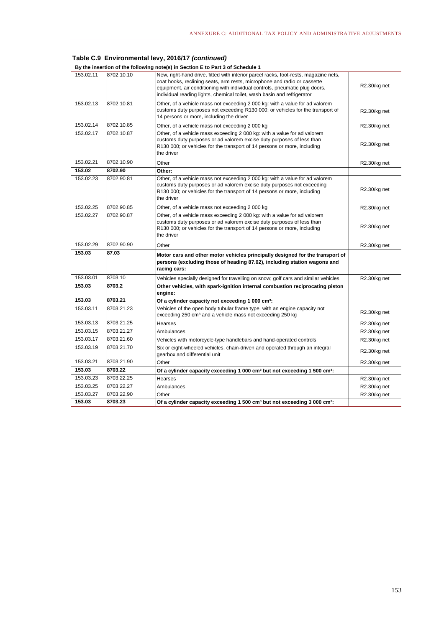|  | By the insertion of the following note(s) in Section E to Part 3 of Schedule 1 |  |  |  |
|--|--------------------------------------------------------------------------------|--|--|--|
|--|--------------------------------------------------------------------------------|--|--|--|

| 153.02.11           | 8702.10.10            | New, right-hand drive, fitted with interior parcel racks, foot-rests, magazine nets,<br>coat hooks, reclining seats, arm rests, microphone and radio or cassette<br>equipment, air conditioning with individual controls, pneumatic plug doors,<br>individual reading lights, chemical toilet, wash basin and refrigerator | R2.30/kg net |
|---------------------|-----------------------|----------------------------------------------------------------------------------------------------------------------------------------------------------------------------------------------------------------------------------------------------------------------------------------------------------------------------|--------------|
| 153.02.13           | 8702.10.81            | Other, of a vehicle mass not exceeding 2 000 kg: with a value for ad valorem<br>customs duty purposes not exceeding R130 000; or vehicles for the transport of<br>14 persons or more, including the driver                                                                                                                 | R2.30/kg net |
| 153.02.14           | 8702.10.85            | Other, of a vehicle mass not exceeding 2 000 kg                                                                                                                                                                                                                                                                            | R2.30/kg net |
| 153.02.17           | 8702.10.87            | Other, of a vehicle mass exceeding 2 000 kg: with a value for ad valorem<br>customs duty purposes or ad valorem excise duty purposes of less than<br>R130 000; or vehicles for the transport of 14 persons or more, including<br>the driver                                                                                | R2.30/kg net |
| 153.02.21           | 8702.10.90            | Other                                                                                                                                                                                                                                                                                                                      | R2.30/kg net |
| 153.02              | 8702.90               | Other:                                                                                                                                                                                                                                                                                                                     |              |
| 153.02.23           | 8702.90.81            | Other, of a vehicle mass not exceeding 2 000 kg: with a value for ad valorem<br>customs duty purposes or ad valorem excise duty purposes not exceeding<br>R130 000; or vehicles for the transport of 14 persons or more, including<br>the driver                                                                           | R2.30/kg net |
| 153.02.25           | 8702.90.85            | Other, of a vehicle mass not exceeding 2 000 kg                                                                                                                                                                                                                                                                            | R2.30/kg net |
| 153.02.27           | 8702.90.87            | Other, of a vehicle mass exceeding 2 000 kg: with a value for ad valorem<br>customs duty purposes or ad valorem excise duty purposes of less than<br>R130 000; or vehicles for the transport of 14 persons or more, including<br>the driver                                                                                | R2.30/kg net |
| 153.02.29           | 8702.90.90            | Other                                                                                                                                                                                                                                                                                                                      | R2.30/kg net |
| 153.03              | 87.03                 | Motor cars and other motor vehicles principally designed for the transport of<br>persons (excluding those of heading 87.02), including station wagons and<br>racing cars:                                                                                                                                                  |              |
| 153.03.01           | 8703.10               | Vehicles specially designed for travelling on snow; golf cars and similar vehicles                                                                                                                                                                                                                                         | R2.30/kg net |
| 153.03              | 8703.2                | Other vehicles, with spark-ignition internal combustion reciprocating piston<br>engine:                                                                                                                                                                                                                                    |              |
| 153.03              | 8703.21               | Of a cylinder capacity not exceeding 1 000 cm <sup>3</sup> :                                                                                                                                                                                                                                                               |              |
| 153.03.11           | 8703.21.23            | Vehicles of the open body tubular frame type, with an engine capacity not<br>exceeding 250 cm <sup>3</sup> and a vehicle mass not exceeding 250 kg                                                                                                                                                                         | R2.30/kg net |
| 153.03.13           | 8703.21.25            | Hearses                                                                                                                                                                                                                                                                                                                    | R2.30/kg net |
| 153.03.15           | 8703.21.27            | Ambulances                                                                                                                                                                                                                                                                                                                 |              |
|                     |                       |                                                                                                                                                                                                                                                                                                                            | R2.30/kg net |
| 153.03.17           | 8703.21.60            | Vehicles with motorcycle-type handlebars and hand-operated controls                                                                                                                                                                                                                                                        | R2.30/kg net |
| 153.03.19           | 8703.21.70            | Six or eight-wheeled vehicles, chain-driven and operated through an integral<br>gearbox and differential unit                                                                                                                                                                                                              | R2.30/kg net |
| 153.03.21           | 8703.21.90            | Other                                                                                                                                                                                                                                                                                                                      | R2.30/kg net |
| 153.03              | 8703.22               | Of a cylinder capacity exceeding 1 000 cm <sup>3</sup> but not exceeding 1 500 cm <sup>3</sup> :                                                                                                                                                                                                                           |              |
| 153.03.23           | 8703.22.25            | Hearses                                                                                                                                                                                                                                                                                                                    | R2.30/kg net |
| 153.03.25           | 8703.22.27            | Ambulances                                                                                                                                                                                                                                                                                                                 | R2.30/kg net |
| 153.03.27<br>153.03 | 8703.22.90<br>8703.23 | Other                                                                                                                                                                                                                                                                                                                      | R2.30/kg net |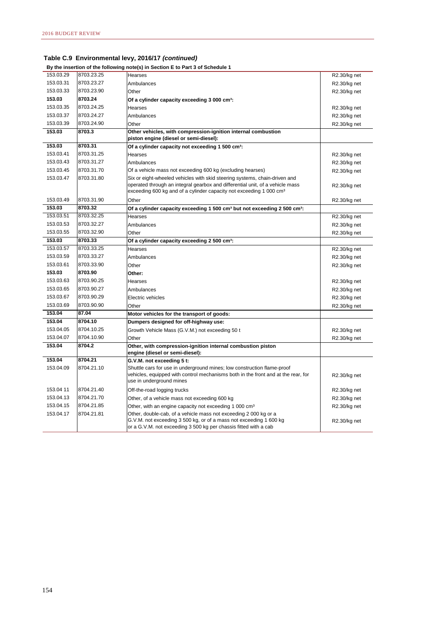#### **By the insertion of the following note(s) in Section E to Part 3 of Schedule 1**

| 153.03.29 | 8703.23.25 | Hearses                                                                                                                                                                                                    | R2.30/kg net |
|-----------|------------|------------------------------------------------------------------------------------------------------------------------------------------------------------------------------------------------------------|--------------|
| 153.03.31 | 8703.23.27 | Ambulances                                                                                                                                                                                                 | R2.30/kg net |
| 153.03.33 | 8703.23.90 | Other                                                                                                                                                                                                      | R2.30/kg net |
| 153.03    | 8703.24    | Of a cylinder capacity exceeding 3 000 cm <sup>3</sup> :                                                                                                                                                   |              |
| 153.03.35 | 8703.24.25 | Hearses                                                                                                                                                                                                    | R2.30/kg net |
| 153.03.37 | 8703.24.27 | Ambulances                                                                                                                                                                                                 | R2.30/kg net |
| 153.03.39 | 8703.24.90 | Other                                                                                                                                                                                                      | R2.30/kg net |
| 153.03    | 8703.3     | Other vehicles, with compression-ignition internal combustion<br>piston engine (diesel or semi-diesel):                                                                                                    |              |
| 153.03    | 8703.31    | Of a cylinder capacity not exceeding 1 500 cm <sup>3</sup> :                                                                                                                                               |              |
| 153.03.41 | 8703.31.25 | Hearses                                                                                                                                                                                                    | R2.30/kg net |
| 153.03.43 | 8703.31.27 | Ambulances                                                                                                                                                                                                 | R2.30/kg net |
| 153.03.45 | 8703.31.70 | Of a vehicle mass not exceeding 600 kg (excluding hearses)                                                                                                                                                 | R2.30/kg net |
| 153.03.47 | 8703.31.80 | Six or eight-wheeled vehicles with skid steering systems, chain-driven and                                                                                                                                 |              |
|           |            | operated through an integral gearbox and differential unit, of a vehicle mass                                                                                                                              | R2.30/kg net |
|           |            | exceeding 600 kg and of a cylinder capacity not exceeding 1 000 cm <sup>3</sup>                                                                                                                            |              |
| 153.03.49 | 8703.31.90 | Other                                                                                                                                                                                                      | R2.30/kg net |
| 153.03    | 8703.32    | Of a cylinder capacity exceeding 1 500 cm <sup>3</sup> but not exceeding 2 500 cm <sup>3</sup> :                                                                                                           |              |
| 153.03.51 | 8703.32.25 | Hearses                                                                                                                                                                                                    | R2.30/kg net |
| 153.03.53 | 8703.32.27 | Ambulances                                                                                                                                                                                                 | R2.30/kg net |
| 153.03.55 | 8703.32.90 | Other                                                                                                                                                                                                      | R2.30/kg net |
| 153.03    | 8703.33    | Of a cylinder capacity exceeding 2 500 cm <sup>3</sup> :                                                                                                                                                   |              |
| 153.03.57 | 8703.33.25 | Hearses                                                                                                                                                                                                    | R2.30/kg net |
| 153.03.59 | 8703.33.27 | Ambulances                                                                                                                                                                                                 | R2.30/kg net |
| 153.03.61 | 8703.33.90 | Other                                                                                                                                                                                                      | R2.30/kg net |
| 153.03    | 8703.90    | Other:                                                                                                                                                                                                     |              |
| 153.03.63 | 8703.90.25 | Hearses                                                                                                                                                                                                    | R2.30/kg net |
| 153.03.65 | 8703.90.27 | Ambulances                                                                                                                                                                                                 | R2.30/kg net |
| 153.03.67 | 8703.90.29 | Electric vehicles                                                                                                                                                                                          | R2.30/kg net |
| 153.03.69 | 8703.90.90 | Other                                                                                                                                                                                                      | R2.30/kg net |
| 153.04    | 87.04      | Motor vehicles for the transport of goods:                                                                                                                                                                 |              |
| 153.04    | 8704.10    | Dumpers designed for off-highway use:                                                                                                                                                                      |              |
| 153.04.05 | 8704.10.25 | Growth Vehicle Mass (G.V.M.) not exceeding 50 t                                                                                                                                                            | R2.30/kg net |
| 153.04.07 | 8704.10.90 | Other                                                                                                                                                                                                      | R2.30/kg net |
| 153.04    | 8704.2     | Other, with compression-ignition internal combustion piston<br>engine (diesel or semi-diesel):                                                                                                             |              |
| 153.04    | 8704.21    | G.V.M. not exceeding 5 t:                                                                                                                                                                                  |              |
| 153.04.09 | 8704.21.10 | Shuttle cars for use in underground mines; low construction flame-proof                                                                                                                                    |              |
|           |            | vehicles, equipped with control mechanisms both in the front and at the rear, for<br>use in underground mines                                                                                              | R2.30/kg net |
| 153.04 11 | 8704.21.40 | Off-the-road logging trucks                                                                                                                                                                                | R2.30/kg net |
| 153.04.13 | 8704.21.70 | Other, of a vehicle mass not exceeding 600 kg                                                                                                                                                              | R2.30/kg net |
| 153.04.15 | 8704.21.85 | Other, with an engine capacity not exceeding 1 000 cm <sup>3</sup>                                                                                                                                         | R2.30/kg net |
| 153.04.17 | 8704.21.81 | Other, double-cab, of a vehicle mass not exceeding 2 000 kg or a<br>G.V.M. not exceeding 3 500 kg, or of a mass not exceeding 1 600 kg<br>or a G.V.M. not exceeding 3 500 kg per chassis fitted with a cab | R2.30/kg net |
|           |            |                                                                                                                                                                                                            |              |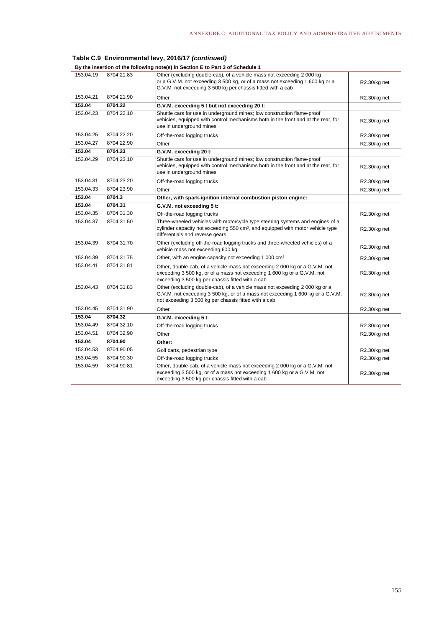|           |            | By the insertion of the following note(s) in Section E to Part 3 of Schedule 1                                                                                                                                        |              |
|-----------|------------|-----------------------------------------------------------------------------------------------------------------------------------------------------------------------------------------------------------------------|--------------|
| 153.04.19 | 8704.21.83 | Other (excluding double-cab), of a vehicle mass not exceeding 2000 kg<br>or a G.V.M. not exceeding 3 500 kg, or of a mass not exceeding 1 600 kg or a<br>G.V.M. not exceeding 3 500 kg per chassis fitted with a cab  | R2.30/kg net |
| 153.04.21 | 8704.21.90 | Other                                                                                                                                                                                                                 | R2.30/kg net |
| 153.04    | 8704.22    | G.V.M. exceeding 5 t but not exceeding 20 t:                                                                                                                                                                          |              |
| 153.04.23 | 8704.22.10 | Shuttle cars for use in underground mines; low construction flame-proof<br>vehicles, equipped with control mechanisms both in the front and at the rear, for<br>use in underground mines                              | R2.30/kg net |
| 153.04.25 | 8704.22.20 | Off-the-road logging trucks                                                                                                                                                                                           | R2.30/kg net |
| 153.04.27 | 8704.22.90 | Other                                                                                                                                                                                                                 | R2.30/kg net |
| 153.04    | 8704.23    | G.V.M. exceeding 20 t:                                                                                                                                                                                                |              |
| 153.04.29 | 8704.23.10 | Shuttle cars for use in underground mines; low construction flame-proof<br>vehicles, equipped with control mechanisms both in the front and at the rear, for<br>use in underground mines                              | R2.30/kg net |
| 153.04.31 | 8704.23.20 | Off-the-road logging trucks                                                                                                                                                                                           | R2.30/kg net |
| 153.04.33 | 8704.23.90 | Other                                                                                                                                                                                                                 | R2.30/kg net |
| 153.04    | 8704.3     | Other, with spark-ignition internal combustion piston engine:                                                                                                                                                         |              |
| 153.04    | 8704.31    | G.V.M. not exceeding 5 t:                                                                                                                                                                                             |              |
| 153.04.35 | 8704.31.30 | Off-the-road logging trucks                                                                                                                                                                                           | R2.30/kg net |
| 153.04.37 | 8704.31.50 | Three-wheeled vehicles with motorcycle type steering systems and engines of a<br>cylinder capacity not exceeding 550 cm <sup>3</sup> , and equipped with motor vehicle type<br>differentials and reverse gears        | R2.30/kg net |
| 153.04.39 | 8704.31.70 | Other (excluding off-the-road logging trucks and three-wheeled vehicles) of a<br>vehicle mass not exceeding 600 kg                                                                                                    | R2.30/kg net |
| 153.04.39 | 8704.31.75 | Other, with an engine capacity not exceeding 1 000 cm <sup>3</sup>                                                                                                                                                    | R2.30/kg net |
| 153.04.41 | 8704.31.81 | Other, double-cab, of a vehicle mass not exceeding 2 000 kg or a G.V.M. not<br>exceeding 3 500 kg, or of a mass not exceeding 1 600 kg or a G.V.M. not<br>exceeding 3 500 kg per chassis fitted with a cab            | R2.30/kg net |
| 153.04.43 | 8704.31.83 | Other (excluding double-cab), of a vehicle mass not exceeding 2 000 kg or a<br>G.V.M. not exceeding 3 500 kg, or of a mass not exceeding 1 600 kg or a G.V.M.<br>not exceeding 3 500 kg per chassis fitted with a cab | R2.30/kg net |
| 153.04.45 | 8704.31.90 | Other                                                                                                                                                                                                                 | R2.30/kg net |
| 153.04    | 8704.32    | G.V.M. exceeding 5 t:                                                                                                                                                                                                 |              |
| 153.04.49 | 8704.32.10 | Off-the-road logging trucks                                                                                                                                                                                           | R2.30/kg net |
| 153.04.51 | 8704.32.90 | Other                                                                                                                                                                                                                 | R2.30/kg net |
| 153.04    | 8704.90    | Other:                                                                                                                                                                                                                |              |
| 153.04.53 | 8704.90.05 | Golf carts, pedestrian type                                                                                                                                                                                           | R2.30/kg net |
| 153.04.55 | 8704.90.30 | Off-the-road logging trucks                                                                                                                                                                                           | R2.30/kg net |
| 153.04.59 | 8704.90.81 | Other, double-cab, of a vehicle mass not exceeding 2 000 kg or a G.V.M. not<br>exceeding 3 500 kg, or of a mass not exceeding 1 600 kg or a G.V.M. not<br>exceeding 3 500 kg per chassis fitted with a cab            | R2.30/kg net |

155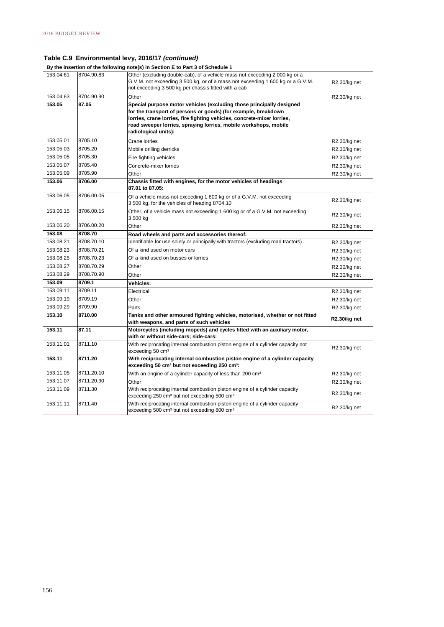| By the insertion of the following note(s) in Section E to Part 3 of Schedule 1 |            |                                                                             |  |  |  |
|--------------------------------------------------------------------------------|------------|-----------------------------------------------------------------------------|--|--|--|
| 153.04.61                                                                      | 8704.90.83 | Other (excluding double-cab), of a vehicle mass not exceeding 2 000 kg or a |  |  |  |

| 153.04.61 | 8704.90.83 | Other (excluding double-cab), of a vehicle mass not exceeding 2 000 kg or a<br>G.V.M. not exceeding 3 500 kg, or of a mass not exceeding 1 600 kg or a G.V.M.<br>not exceeding 3 500 kg per chassis fitted with a cab                                                                                         | R2.30/kg net |
|-----------|------------|---------------------------------------------------------------------------------------------------------------------------------------------------------------------------------------------------------------------------------------------------------------------------------------------------------------|--------------|
| 153.04.63 | 8704.90.90 | Other                                                                                                                                                                                                                                                                                                         | R2.30/kg net |
| 153.05    | 87.05      | Special purpose motor vehicles (excluding those principally designed<br>for the transport of persons or goods) (for example, breakdown<br>lorries, crane lorries, fire fighting vehicles, concrete-mixer lorries,<br>road sweeper lorries, spraying lorries, mobile workshops, mobile<br>radiological units): |              |
| 153.05.01 | 8705.10    | Crane lorries                                                                                                                                                                                                                                                                                                 | R2.30/kg net |
| 153.05.03 | 8705.20    | Mobile drilling derricks                                                                                                                                                                                                                                                                                      | R2.30/kg net |
| 153.05.05 | 8705.30    | Fire fighting vehicles                                                                                                                                                                                                                                                                                        | R2.30/kg net |
| 153.05.07 | 8705.40    | Concrete-mixer lorries                                                                                                                                                                                                                                                                                        | R2.30/kg net |
| 153.05.09 | 8705.90    | Other                                                                                                                                                                                                                                                                                                         | R2.30/kg net |
| 153.06    | 8706.00    | Chassis fitted with engines, for the motor vehicles of headings<br>87.01 to 87.05:                                                                                                                                                                                                                            |              |
| 153.06.05 | 8706.00.05 | Of a vehicle mass not exceeding 1 600 kg or of a G.V.M. not exceeding<br>3 500 kg, for the vehicles of heading 8704.10                                                                                                                                                                                        | R2.30/kg net |
| 153.06.15 | 8706.00.15 | Other, of a vehicle mass not exceeding 1 600 kg or of a G.V.M. not exceeding<br>3 500 kg                                                                                                                                                                                                                      | R2.30/kg net |
| 153.06.20 | 8706.00.20 | Other                                                                                                                                                                                                                                                                                                         | R2.30/kg net |
| 153.08    | 8708.70    | Road wheels and parts and accessories thereof:                                                                                                                                                                                                                                                                |              |
| 153.08.21 | 8708.70.10 | Identifiable for use solely or principally with tractors (excluding road tractors)                                                                                                                                                                                                                            | R2.30/kg net |
| 153.08.23 | 8708.70.21 | Of a kind used on motor cars                                                                                                                                                                                                                                                                                  | R2.30/kg net |
| 153.08.25 | 8708.70.23 | Of a kind used on busses or lorries                                                                                                                                                                                                                                                                           | R2.30/kg net |
| 153.08.27 | 8708.70.29 | Other                                                                                                                                                                                                                                                                                                         | R2.30/kg net |
| 153.08.29 | 8708.70.90 | Other                                                                                                                                                                                                                                                                                                         | R2.30/kg net |
| 153.09    | 8709.1     | <b>Vehicles:</b>                                                                                                                                                                                                                                                                                              |              |
| 153.09.11 | 8709.11    | Electrical                                                                                                                                                                                                                                                                                                    | R2.30/kg net |
| 153.09.19 | 8709.19    | Other                                                                                                                                                                                                                                                                                                         | R2.30/kg net |
| 153.09.29 | 8709.90    | Parts                                                                                                                                                                                                                                                                                                         | R2.30/kg net |
| 153.10    | 8710.00    | Tanks and other armoured fighting vehicles, motorised, whether or not fitted<br>with weapons, and parts of such vehicles                                                                                                                                                                                      | R2.30/kg net |
| 153.11    | 87.11      | Motorcycles (including mopeds) and cycles fitted with an auxiliary motor,<br>with or without side-cars; side-cars:                                                                                                                                                                                            |              |
| 153.11.01 | 8711.10    | With reciprocating internal combustion piston engine of a cylinder capacity not<br>exceeding 50 cm <sup>3</sup>                                                                                                                                                                                               | R2.30/kg net |
| 153.11    | 8711.20    | With reciprocating internal combustion piston engine of a cylinder capacity<br>exceeding 50 cm <sup>3</sup> but not exceeding 250 cm <sup>3</sup> :                                                                                                                                                           |              |
| 153.11.05 | 8711.20.10 | With an engine of a cylinder capacity of less than 200 cm <sup>3</sup>                                                                                                                                                                                                                                        | R2.30/kg net |
| 153.11.07 | 8711.20.90 | Other                                                                                                                                                                                                                                                                                                         | R2.30/kg net |
| 153.11.09 | 8711.30    | With reciprocating internal combustion piston engine of a cylinder capacity<br>exceeding 250 cm <sup>3</sup> but not exceeding 500 cm <sup>3</sup>                                                                                                                                                            | R2.30/kg net |
| 153.11.11 | 8711.40    | With reciprocating internal combustion piston engine of a cylinder capacity<br>exceeding 500 cm <sup>3</sup> but not exceeding 800 cm <sup>3</sup>                                                                                                                                                            | R2.30/kg net |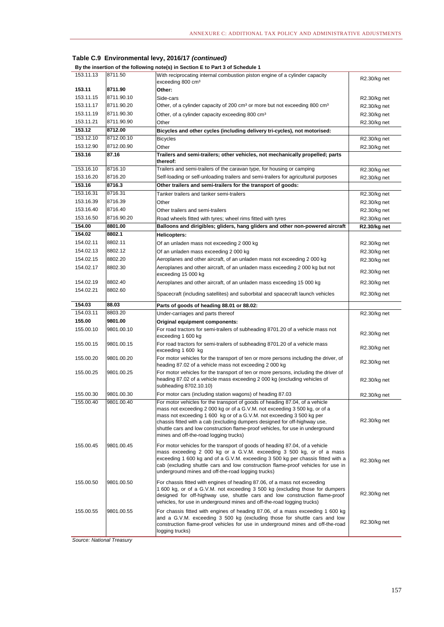| By the insertion of the following note(s) in Section E to Part 3 of Schedule 1 |                       |                                                                                                                                                                                                                                                                                                                                                                                                                                               |                              |
|--------------------------------------------------------------------------------|-----------------------|-----------------------------------------------------------------------------------------------------------------------------------------------------------------------------------------------------------------------------------------------------------------------------------------------------------------------------------------------------------------------------------------------------------------------------------------------|------------------------------|
| 153.11.13                                                                      | 8711.50               | With reciprocating internal combustion piston engine of a cylinder capacity                                                                                                                                                                                                                                                                                                                                                                   |                              |
|                                                                                |                       | exceeding 800 cm <sup>3</sup>                                                                                                                                                                                                                                                                                                                                                                                                                 | R2.30/kg net                 |
| 153.11                                                                         | 8711.90               | Other:                                                                                                                                                                                                                                                                                                                                                                                                                                        |                              |
| 153.11.15                                                                      | 8711.90.10            | Side-cars                                                                                                                                                                                                                                                                                                                                                                                                                                     | R2.30/kg net                 |
| 153.11.17                                                                      | 8711.90.20            | Other, of a cylinder capacity of 200 cm <sup>3</sup> or more but not exceeding 800 cm <sup>3</sup>                                                                                                                                                                                                                                                                                                                                            | R2.30/kg net                 |
| 153.11.19                                                                      | 8711.90.30            | Other, of a cylinder capacity exceeding 800 cm <sup>3</sup>                                                                                                                                                                                                                                                                                                                                                                                   | R2.30/kg net                 |
| 153.11.21                                                                      | 8711.90.90            | Other                                                                                                                                                                                                                                                                                                                                                                                                                                         | R2.30/kg net                 |
| 153.12                                                                         | 8712.00               | Bicycles and other cycles (including delivery tri-cycles), not motorised:                                                                                                                                                                                                                                                                                                                                                                     |                              |
| 153.12.10                                                                      | 8712.00.10            | <b>Bicycles</b>                                                                                                                                                                                                                                                                                                                                                                                                                               | R2.30/kg net                 |
| 153.12.90                                                                      | 8712.00.90            | Other                                                                                                                                                                                                                                                                                                                                                                                                                                         | R2.30/kg net                 |
| 153.16                                                                         | 87.16                 | Trailers and semi-trailers; other vehicles, not mechanically propelled; parts                                                                                                                                                                                                                                                                                                                                                                 |                              |
|                                                                                |                       | thereof:                                                                                                                                                                                                                                                                                                                                                                                                                                      |                              |
| 153.16.10                                                                      | 8716.10               | Trailers and semi-trailers of the caravan type, for housing or camping                                                                                                                                                                                                                                                                                                                                                                        | R2.30/kg net                 |
| 153.16.20                                                                      | 8716.20               | Self-loading or self-unloading trailers and semi-trailers for agricultural purposes                                                                                                                                                                                                                                                                                                                                                           | R2.30/kg net                 |
| 153.16                                                                         | 8716.3                | Other trailers and semi-trailers for the transport of goods:                                                                                                                                                                                                                                                                                                                                                                                  |                              |
| 153.16.31                                                                      | 8716.31               | Tanker trailers and tanker semi-trailers                                                                                                                                                                                                                                                                                                                                                                                                      | R2.30/kg net                 |
| 153.16.39                                                                      | 8716.39               | Other                                                                                                                                                                                                                                                                                                                                                                                                                                         | R2.30/kg net                 |
| 153.16.40                                                                      | 8716.40               | Other trailers and semi-trailers                                                                                                                                                                                                                                                                                                                                                                                                              | R2.30/kg net                 |
| 153.16.50                                                                      | 8716.90.20            | Road wheels fitted with tyres; wheel rims fitted with tyres                                                                                                                                                                                                                                                                                                                                                                                   | R2.30/kg net                 |
| 154.00                                                                         | 8801.00               | Balloons and dirigibles; gliders, hang gliders and other non-powered aircraft                                                                                                                                                                                                                                                                                                                                                                 | R2.30/kg net                 |
| 154.02                                                                         | 8802.1                | Helicopters:                                                                                                                                                                                                                                                                                                                                                                                                                                  |                              |
| 154.02.11                                                                      | 8802.11               | Of an unladen mass not exceeding 2 000 kg                                                                                                                                                                                                                                                                                                                                                                                                     | R2.30/kg net                 |
| 154.02.13                                                                      | 8802.12               | Of an unladen mass exceeding 2 000 kg                                                                                                                                                                                                                                                                                                                                                                                                         | R2.30/kg net                 |
| 154.02.15                                                                      | 8802.20               | Aeroplanes and other aircraft, of an unladen mass not exceeding 2 000 kg                                                                                                                                                                                                                                                                                                                                                                      | R2.30/kg net                 |
| 154.02.17                                                                      | 8802.30               | Aeroplanes and other aircraft, of an unladen mass exceeding 2 000 kg but not<br>exceeding 15 000 kg                                                                                                                                                                                                                                                                                                                                           | R2.30/kg net                 |
| 154.02.19                                                                      | 8802.40               | Aeroplanes and other aircraft, of an unladen mass exceeding 15 000 kg                                                                                                                                                                                                                                                                                                                                                                         | R2.30/kg net                 |
| 154.02.21                                                                      | 8802.60               | Spacecraft (including satellites) and suborbital and spacecraft launch vehicles                                                                                                                                                                                                                                                                                                                                                               | R2.30/kg net                 |
|                                                                                |                       |                                                                                                                                                                                                                                                                                                                                                                                                                                               |                              |
|                                                                                |                       |                                                                                                                                                                                                                                                                                                                                                                                                                                               |                              |
| 154.03                                                                         | 88.03                 | Parts of goods of heading 88.01 or 88.02:                                                                                                                                                                                                                                                                                                                                                                                                     |                              |
| 154.03.11                                                                      | 8803.20               | Under-carriages and parts thereof                                                                                                                                                                                                                                                                                                                                                                                                             | R2.30/kg net                 |
| 155.00<br>155.00.10                                                            | 9801.00<br>9801.00.10 | Original equipment components:<br>For road tractors for semi-trailers of subheading 8701.20 of a vehicle mass not                                                                                                                                                                                                                                                                                                                             | R2.30/kg net                 |
| 155.00.15                                                                      | 9801.00.15            | exceeding 1 600 kg<br>For road tractors for semi-trailers of subheading 8701.20 of a vehicle mass                                                                                                                                                                                                                                                                                                                                             |                              |
|                                                                                |                       | exceeding 1 600 kg                                                                                                                                                                                                                                                                                                                                                                                                                            | R2.30/kg net                 |
| 155.00.20                                                                      | 9801.00.20            | For motor vehicles for the transport of ten or more persons including the driver, of<br>heading 87.02 of a vehicle mass not exceeding 2 000 kg                                                                                                                                                                                                                                                                                                | R2.30/kg net                 |
| 155.00.25                                                                      | 9801.00.25            | For motor vehicles for the transport of ten or more persons, including the driver of<br>heading 87.02 of a vehicle mass exceeding 2 000 kg (excluding vehicles of<br>subheading 8702.10.10)                                                                                                                                                                                                                                                   | R2.30/kg net                 |
| 155.00.30                                                                      | 9801.00.30            | For motor cars (including station wagons) of heading 87.03                                                                                                                                                                                                                                                                                                                                                                                    |                              |
| 155.00.40                                                                      | 9801.00.40            | For motor vehicles for the transport of goods of heading 87.04, of a vehicle<br>mass not exceeding 2 000 kg or of a G.V.M. not exceeding 3 500 kg, or of a<br>mass not exceeding 1 600 kg or of a G.V.M. not exceeding 3 500 kg per<br>chassis fitted with a cab (excluding dumpers designed for off-highway use,<br>shuttle cars and low construction flame-proof vehicles, for use in underground<br>mines and off-the-road logging trucks) | R2.30/kg net<br>R2.30/kg net |
| 155.00.45                                                                      | 9801.00.45            | For motor vehicles for the transport of goods of heading 87.04, of a vehicle<br>mass exceeding 2 000 kg or a G.V.M. exceeding 3 500 kg, or of a mass<br>exceeding 1 600 kg and of a G.V.M. exceeding 3 500 kg per chassis fitted with a<br>cab (excluding shuttle cars and low construction flame-proof vehicles for use in<br>underground mines and off-the-road logging trucks)                                                             | R2.30/kg net                 |
| 155.00.50                                                                      | 9801.00.50            | For chassis fitted with engines of heading 87.06, of a mass not exceeding<br>1 600 kg, or of a G.V.M. not exceeding 3 500 kg (excluding those for dumpers<br>designed for off-highway use, shuttle cars and low construction flame-proof<br>vehicles, for use in underground mines and off-the-road logging trucks)                                                                                                                           | R2.30/kg net                 |

*Source: National Treasury*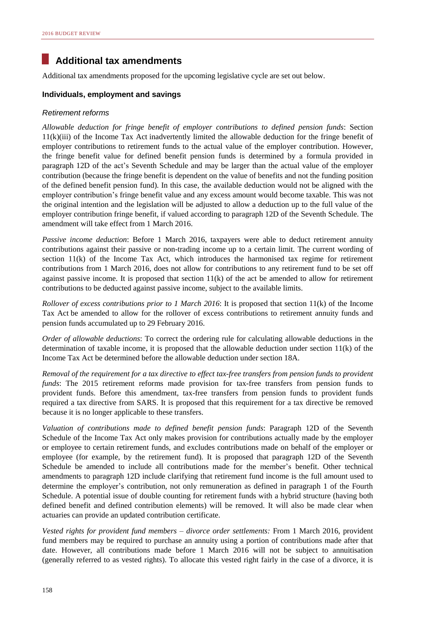### **Additional tax amendments**

Additional tax amendments proposed for the upcoming legislative cycle are set out below.

#### **Individuals, employment and savings**

#### *Retirement reforms*

*Allowable deduction for fringe benefit of employer contributions to defined pension funds*: Section 11(k)(iii) of the Income Tax Act inadvertently limited the allowable deduction for the fringe benefit of employer contributions to retirement funds to the actual value of the employer contribution. However, the fringe benefit value for defined benefit pension funds is determined by a formula provided in paragraph 12D of the act's Seventh Schedule and may be larger than the actual value of the employer contribution (because the fringe benefit is dependent on the value of benefits and not the funding position of the defined benefit pension fund). In this case, the available deduction would not be aligned with the employer contribution's fringe benefit value and any excess amount would become taxable. This was not the original intention and the legislation will be adjusted to allow a deduction up to the full value of the employer contribution fringe benefit, if valued according to paragraph 12D of the Seventh Schedule. The amendment will take effect from 1 March 2016.

*Passive income deduction*: Before 1 March 2016, taxpayers were able to deduct retirement annuity contributions against their passive or non-trading income up to a certain limit. The current wording of section 11(k) of the Income Tax Act, which introduces the harmonised tax regime for retirement contributions from 1 March 2016, does not allow for contributions to any retirement fund to be set off against passive income. It is proposed that section  $11(k)$  of the act be amended to allow for retirement contributions to be deducted against passive income, subject to the available limits.

*Rollover of excess contributions prior to 1 March 2016*: It is proposed that section 11(k) of the Income Tax Act be amended to allow for the rollover of excess contributions to retirement annuity funds and pension funds accumulated up to 29 February 2016.

*Order of allowable deductions*: To correct the ordering rule for calculating allowable deductions in the determination of taxable income, it is proposed that the allowable deduction under section 11(k) of the Income Tax Act be determined before the allowable deduction under section 18A.

*Removal of the requirement for a tax directive to effect tax-free transfers from pension funds to provident funds*: The 2015 retirement reforms made provision for tax-free transfers from pension funds to provident funds. Before this amendment, tax-free transfers from pension funds to provident funds required a tax directive from SARS. It is proposed that this requirement for a tax directive be removed because it is no longer applicable to these transfers.

*Valuation of contributions made to defined benefit pension funds*: Paragraph 12D of the Seventh Schedule of the Income Tax Act only makes provision for contributions actually made by the employer or employee to certain retirement funds, and excludes contributions made on behalf of the employer or employee (for example, by the retirement fund). It is proposed that paragraph 12D of the Seventh Schedule be amended to include all contributions made for the member's benefit. Other technical amendments to paragraph 12D include clarifying that retirement fund income is the full amount used to determine the employer's contribution, not only remuneration as defined in paragraph 1 of the Fourth Schedule. A potential issue of double counting for retirement funds with a hybrid structure (having both defined benefit and defined contribution elements) will be removed. It will also be made clear when actuaries can provide an updated contribution certificate.

*Vested rights for provident fund members – divorce order settlements:* From 1 March 2016, provident fund members may be required to purchase an annuity using a portion of contributions made after that date. However, all contributions made before 1 March 2016 will not be subject to annuitisation (generally referred to as vested rights). To allocate this vested right fairly in the case of a divorce, it is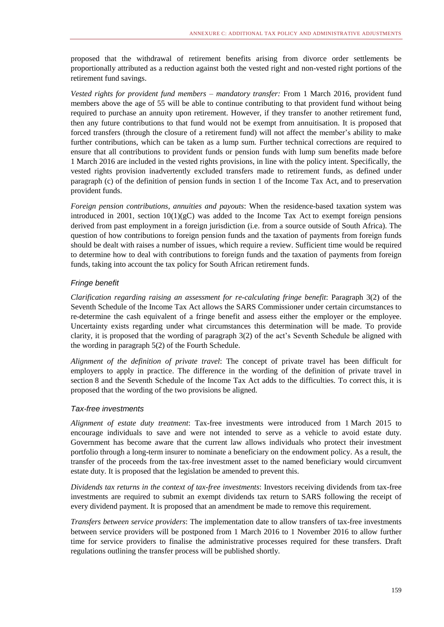proposed that the withdrawal of retirement benefits arising from divorce order settlements be proportionally attributed as a reduction against both the vested right and non-vested right portions of the retirement fund savings.

*Vested rights for provident fund members – mandatory transfer:* From 1 March 2016, provident fund members above the age of 55 will be able to continue contributing to that provident fund without being required to purchase an annuity upon retirement. However, if they transfer to another retirement fund, then any future contributions to that fund would not be exempt from annuitisation. It is proposed that forced transfers (through the closure of a retirement fund) will not affect the member's ability to make further contributions, which can be taken as a lump sum. Further technical corrections are required to ensure that all contributions to provident funds or pension funds with lump sum benefits made before 1 March 2016 are included in the vested rights provisions, in line with the policy intent. Specifically, the vested rights provision inadvertently excluded transfers made to retirement funds, as defined under paragraph (c) of the definition of pension funds in section 1 of the Income Tax Act, and to preservation provident funds.

*Foreign pension contributions, annuities and payouts*: When the residence-based taxation system was introduced in 2001, section  $10(1)(gC)$  was added to the Income Tax Act to exempt foreign pensions derived from past employment in a foreign jurisdiction (i.e. from a source outside of South Africa). The question of how contributions to foreign pension funds and the taxation of payments from foreign funds should be dealt with raises a number of issues, which require a review. Sufficient time would be required to determine how to deal with contributions to foreign funds and the taxation of payments from foreign funds, taking into account the tax policy for South African retirement funds.

#### *Fringe benefit*

*Clarification regarding raising an assessment for re-calculating fringe benefit*: Paragraph 3(2) of the Seventh Schedule of the Income Tax Act allows the SARS Commissioner under certain circumstances to re-determine the cash equivalent of a fringe benefit and assess either the employer or the employee. Uncertainty exists regarding under what circumstances this determination will be made. To provide clarity, it is proposed that the wording of paragraph 3(2) of the act's Seventh Schedule be aligned with the wording in paragraph 5(2) of the Fourth Schedule.

*Alignment of the definition of private travel*: The concept of private travel has been difficult for employers to apply in practice. The difference in the wording of the definition of private travel in section 8 and the Seventh Schedule of the Income Tax Act adds to the difficulties. To correct this, it is proposed that the wording of the two provisions be aligned.

#### *Tax-free investments*

*Alignment of estate duty treatment*: Tax-free investments were introduced from 1 March 2015 to encourage individuals to save and were not intended to serve as a vehicle to avoid estate duty. Government has become aware that the current law allows individuals who protect their investment portfolio through a long-term insurer to nominate a beneficiary on the endowment policy. As a result, the transfer of the proceeds from the tax-free investment asset to the named beneficiary would circumvent estate duty. It is proposed that the legislation be amended to prevent this.

*Dividends tax returns in the context of tax-free investments*: Investors receiving dividends from tax-free investments are required to submit an exempt dividends tax return to SARS following the receipt of every dividend payment. It is proposed that an amendment be made to remove this requirement.

*Transfers between service providers*: The implementation date to allow transfers of tax-free investments between service providers will be postponed from 1 March 2016 to 1 November 2016 to allow further time for service providers to finalise the administrative processes required for these transfers. Draft regulations outlining the transfer process will be published shortly.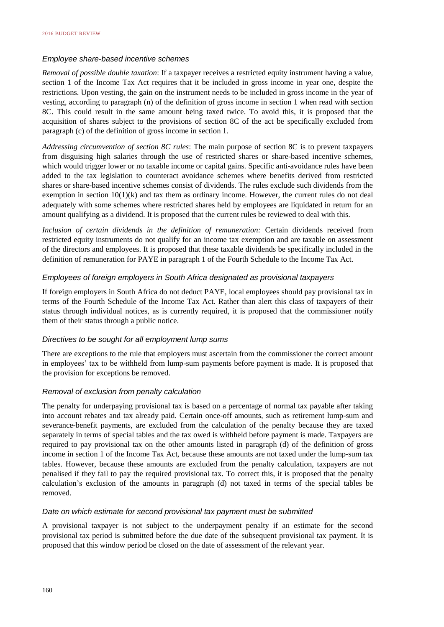#### *Employee share-based incentive schemes*

*Removal of possible double taxation*: If a taxpayer receives a restricted equity instrument having a value, section 1 of the Income Tax Act requires that it be included in gross income in year one, despite the restrictions. Upon vesting, the gain on the instrument needs to be included in gross income in the year of vesting, according to paragraph (n) of the definition of gross income in section 1 when read with section 8C. This could result in the same amount being taxed twice. To avoid this, it is proposed that the acquisition of shares subject to the provisions of section 8C of the act be specifically excluded from paragraph (c) of the definition of gross income in section 1.

*Addressing circumvention of section 8C rules*: The main purpose of section 8C is to prevent taxpayers from disguising high salaries through the use of restricted shares or share-based incentive schemes, which would trigger lower or no taxable income or capital gains. Specific anti-avoidance rules have been added to the tax legislation to counteract avoidance schemes where benefits derived from restricted shares or share-based incentive schemes consist of dividends. The rules exclude such dividends from the exemption in section  $10(1)(k)$  and tax them as ordinary income. However, the current rules do not deal adequately with some schemes where restricted shares held by employees are liquidated in return for an amount qualifying as a dividend. It is proposed that the current rules be reviewed to deal with this.

*Inclusion of certain dividends in the definition of remuneration:* Certain dividends received from restricted equity instruments do not qualify for an income tax exemption and are taxable on assessment of the directors and employees. It is proposed that these taxable dividends be specifically included in the definition of remuneration for PAYE in paragraph 1 of the Fourth Schedule to the Income Tax Act.

#### *Employees of foreign employers in South Africa designated as provisional taxpayers*

If foreign employers in South Africa do not deduct PAYE, local employees should pay provisional tax in terms of the Fourth Schedule of the Income Tax Act. Rather than alert this class of taxpayers of their status through individual notices, as is currently required, it is proposed that the commissioner notify them of their status through a public notice.

#### *Directives to be sought for all employment lump sums*

There are exceptions to the rule that employers must ascertain from the commissioner the correct amount in employees' tax to be withheld from lump-sum payments before payment is made. It is proposed that the provision for exceptions be removed.

#### *Removal of exclusion from penalty calculation*

The penalty for underpaying provisional tax is based on a percentage of normal tax payable after taking into account rebates and tax already paid. Certain once-off amounts, such as retirement lump-sum and severance-benefit payments, are excluded from the calculation of the penalty because they are taxed separately in terms of special tables and the tax owed is withheld before payment is made. Taxpayers are required to pay provisional tax on the other amounts listed in paragraph (d) of the definition of gross income in section 1 of the Income Tax Act, because these amounts are not taxed under the lump-sum tax tables. However, because these amounts are excluded from the penalty calculation, taxpayers are not penalised if they fail to pay the required provisional tax. To correct this, it is proposed that the penalty calculation's exclusion of the amounts in paragraph (d) not taxed in terms of the special tables be removed.

#### *Date on which estimate for second provisional tax payment must be submitted*

A provisional taxpayer is not subject to the underpayment penalty if an estimate for the second provisional tax period is submitted before the due date of the subsequent provisional tax payment. It is proposed that this window period be closed on the date of assessment of the relevant year.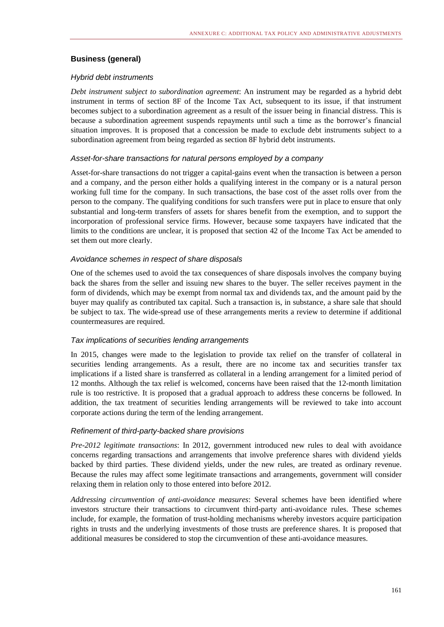#### **Business (general)**

#### *Hybrid debt instruments*

*Debt instrument subject to subordination agreement*: An instrument may be regarded as a hybrid debt instrument in terms of section 8F of the Income Tax Act, subsequent to its issue, if that instrument becomes subject to a subordination agreement as a result of the issuer being in financial distress. This is because a subordination agreement suspends repayments until such a time as the borrower's financial situation improves. It is proposed that a concession be made to exclude debt instruments subject to a subordination agreement from being regarded as section 8F hybrid debt instruments.

#### *Asset-for-share transactions for natural persons employed by a company*

Asset-for-share transactions do not trigger a capital-gains event when the transaction is between a person and a company, and the person either holds a qualifying interest in the company or is a natural person working full time for the company. In such transactions, the base cost of the asset rolls over from the person to the company. The qualifying conditions for such transfers were put in place to ensure that only substantial and long-term transfers of assets for shares benefit from the exemption, and to support the incorporation of professional service firms. However, because some taxpayers have indicated that the limits to the conditions are unclear, it is proposed that section 42 of the Income Tax Act be amended to set them out more clearly.

#### *Avoidance schemes in respect of share disposals*

One of the schemes used to avoid the tax consequences of share disposals involves the company buying back the shares from the seller and issuing new shares to the buyer. The seller receives payment in the form of dividends, which may be exempt from normal tax and dividends tax, and the amount paid by the buyer may qualify as contributed tax capital. Such a transaction is, in substance, a share sale that should be subject to tax. The wide-spread use of these arrangements merits a review to determine if additional countermeasures are required.

#### *Tax implications of securities lending arrangements*

In 2015, changes were made to the legislation to provide tax relief on the transfer of collateral in securities lending arrangements. As a result, there are no income tax and securities transfer tax implications if a listed share is transferred as collateral in a lending arrangement for a limited period of 12 months. Although the tax relief is welcomed, concerns have been raised that the 12-month limitation rule is too restrictive. It is proposed that a gradual approach to address these concerns be followed. In addition, the tax treatment of securities lending arrangements will be reviewed to take into account corporate actions during the term of the lending arrangement.

#### *Refinement of third-party-backed share provisions*

*Pre-2012 legitimate transactions*: In 2012, government introduced new rules to deal with avoidance concerns regarding transactions and arrangements that involve preference shares with dividend yields backed by third parties. These dividend yields, under the new rules, are treated as ordinary revenue. Because the rules may affect some legitimate transactions and arrangements, government will consider relaxing them in relation only to those entered into before 2012.

*Addressing circumvention of anti-avoidance measures*: Several schemes have been identified where investors structure their transactions to circumvent third-party anti-avoidance rules. These schemes include, for example, the formation of trust-holding mechanisms whereby investors acquire participation rights in trusts and the underlying investments of those trusts are preference shares. It is proposed that additional measures be considered to stop the circumvention of these anti-avoidance measures.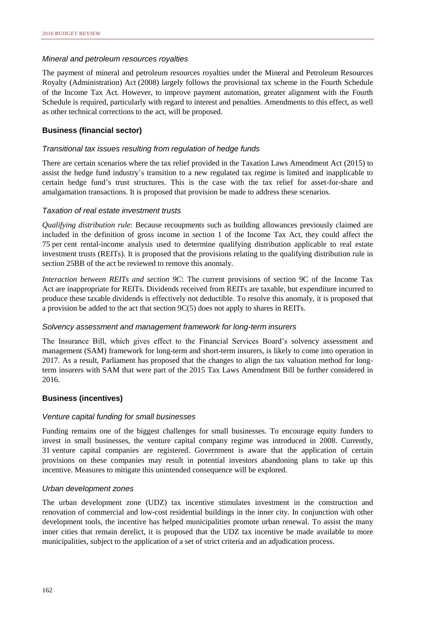#### *Mineral and petroleum resources royalties*

The payment of mineral and petroleum resources royalties under the Mineral and Petroleum Resources Royalty (Administration) Act (2008) largely follows the provisional tax scheme in the Fourth Schedule of the Income Tax Act. However, to improve payment automation, greater alignment with the Fourth Schedule is required, particularly with regard to interest and penalties. Amendments to this effect, as well as other technical corrections to the act, will be proposed.

#### **Business (financial sector)**

#### *Transitional tax issues resulting from regulation of hedge funds*

There are certain scenarios where the tax relief provided in the Taxation Laws Amendment Act (2015) to assist the hedge fund industry's transition to a new regulated tax regime is limited and inapplicable to certain hedge fund's trust structures. This is the case with the tax relief for asset-for-share and amalgamation transactions. It is proposed that provision be made to address these scenarios.

#### *Taxation of real estate investment trusts*

*Qualifying distribution rule*: Because recoupments such as building allowances previously claimed are included in the definition of gross income in section 1 of the Income Tax Act, they could affect the 75 per cent rental-income analysis used to determine qualifying distribution applicable to real estate investment trusts (REITs). It is proposed that the provisions relating to the qualifying distribution rule in section 25BB of the act be reviewed to remove this anomaly.

*Interaction between REITs and section 9C*: The current provisions of section 9C of the Income Tax Act are inappropriate for REITs. Dividends received from REITs are taxable, but expenditure incurred to produce these taxable dividends is effectively not deductible. To resolve this anomaly, it is proposed that a provision be added to the act that section 9C(5) does not apply to shares in REITs.

#### *Solvency assessment and management framework for long-term insurers*

The Insurance Bill, which gives effect to the Financial Services Board's solvency assessment and management (SAM) framework for long-term and short-term insurers, is likely to come into operation in 2017. As a result, Parliament has proposed that the changes to align the tax valuation method for longterm insurers with SAM that were part of the 2015 Tax Laws Amendment Bill be further considered in 2016.

#### **Business (incentives)**

#### *Venture capital funding for small businesses*

Funding remains one of the biggest challenges for small businesses. To encourage equity funders to invest in small businesses, the venture capital company regime was introduced in 2008. Currently, 31 venture capital companies are registered. Government is aware that the application of certain provisions on these companies may result in potential investors abandoning plans to take up this incentive. Measures to mitigate this unintended consequence will be explored.

#### *Urban development zones*

The urban development zone (UDZ) tax incentive stimulates investment in the construction and renovation of commercial and low-cost residential buildings in the inner city. In conjunction with other development tools, the incentive has helped municipalities promote urban renewal. To assist the many inner cities that remain derelict, it is proposed that the UDZ tax incentive be made available to more municipalities, subject to the application of a set of strict criteria and an adjudication process.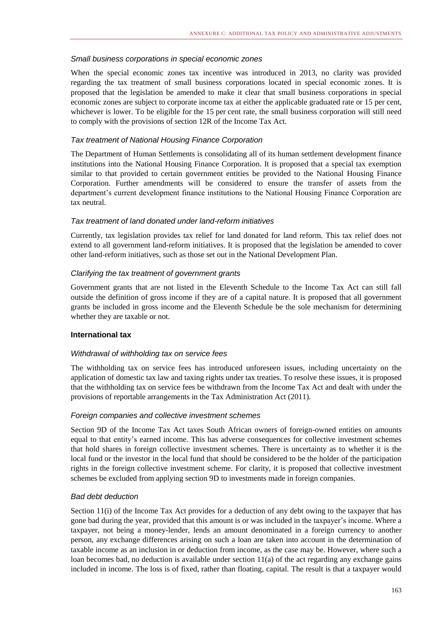#### *Small business corporations in special economic zones*

When the special economic zones tax incentive was introduced in 2013, no clarity was provided regarding the tax treatment of small business corporations located in special economic zones. It is proposed that the legislation be amended to make it clear that small business corporations in special economic zones are subject to corporate income tax at either the applicable graduated rate or 15 per cent, whichever is lower. To be eligible for the 15 per cent rate, the small business corporation will still need to comply with the provisions of section 12R of the Income Tax Act.

#### *Tax treatment of National Housing Finance Corporation*

The Department of Human Settlements is consolidating all of its human settlement development finance institutions into the National Housing Finance Corporation. It is proposed that a special tax exemption similar to that provided to certain government entities be provided to the National Housing Finance Corporation. Further amendments will be considered to ensure the transfer of assets from the department's current development finance institutions to the National Housing Finance Corporation are tax neutral.

#### *Tax treatment of land donated under land-reform initiatives*

Currently, tax legislation provides tax relief for land donated for land reform. This tax relief does not extend to all government land-reform initiatives. It is proposed that the legislation be amended to cover other land-reform initiatives, such as those set out in the National Development Plan.

#### *Clarifying the tax treatment of government grants*

Government grants that are not listed in the Eleventh Schedule to the Income Tax Act can still fall outside the definition of gross income if they are of a capital nature. It is proposed that all government grants be included in gross income and the Eleventh Schedule be the sole mechanism for determining whether they are taxable or not.

#### **International tax**

#### *Withdrawal of withholding tax on service fees*

The withholding tax on service fees has introduced unforeseen issues, including uncertainty on the application of domestic tax law and taxing rights under tax treaties. To resolve these issues, it is proposed that the withholding tax on service fees be withdrawn from the Income Tax Act and dealt with under the provisions of reportable arrangements in the Tax Administration Act (2011).

#### *Foreign companies and collective investment schemes*

Section 9D of the Income Tax Act taxes South African owners of foreign-owned entities on amounts equal to that entity's earned income. This has adverse consequences for collective investment schemes that hold shares in foreign collective investment schemes. There is uncertainty as to whether it is the local fund or the investor in the local fund that should be considered to be the holder of the participation rights in the foreign collective investment scheme. For clarity, it is proposed that collective investment schemes be excluded from applying section 9D to investments made in foreign companies.

#### *Bad debt deduction*

Section 11(i) of the Income Tax Act provides for a deduction of any debt owing to the taxpayer that has gone bad during the year, provided that this amount is or was included in the taxpayer's income. Where a taxpayer, not being a money-lender, lends an amount denominated in a foreign currency to another person, any exchange differences arising on such a loan are taken into account in the determination of taxable income as an inclusion in or deduction from income, as the case may be. However, where such a loan becomes bad, no deduction is available under section 11(a) of the act regarding any exchange gains included in income. The loss is of fixed, rather than floating, capital. The result is that a taxpayer would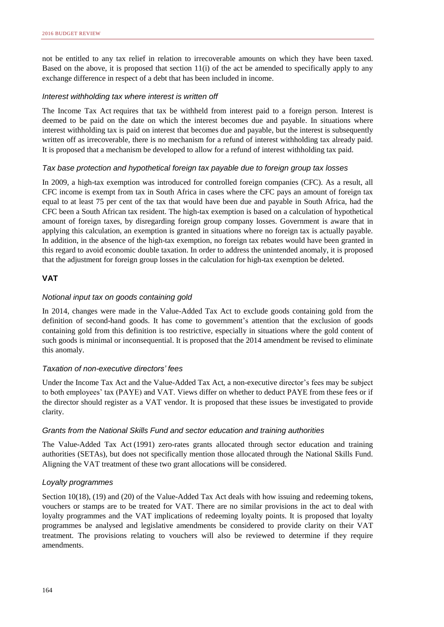not be entitled to any tax relief in relation to irrecoverable amounts on which they have been taxed. Based on the above, it is proposed that section  $11(i)$  of the act be amended to specifically apply to any exchange difference in respect of a debt that has been included in income.

#### *Interest withholding tax where interest is written off*

The Income Tax Act requires that tax be withheld from interest paid to a foreign person. Interest is deemed to be paid on the date on which the interest becomes due and payable. In situations where interest withholding tax is paid on interest that becomes due and payable, but the interest is subsequently written off as irrecoverable, there is no mechanism for a refund of interest withholding tax already paid. It is proposed that a mechanism be developed to allow for a refund of interest withholding tax paid.

#### *Tax base protection and hypothetical foreign tax payable due to foreign group tax losses*

In 2009, a high-tax exemption was introduced for controlled foreign companies (CFC). As a result, all CFC income is exempt from tax in South Africa in cases where the CFC pays an amount of foreign tax equal to at least 75 per cent of the tax that would have been due and payable in South Africa, had the CFC been a South African tax resident. The high-tax exemption is based on a calculation of hypothetical amount of foreign taxes, by disregarding foreign group company losses. Government is aware that in applying this calculation, an exemption is granted in situations where no foreign tax is actually payable. In addition, in the absence of the high-tax exemption, no foreign tax rebates would have been granted in this regard to avoid economic double taxation. In order to address the unintended anomaly, it is proposed that the adjustment for foreign group losses in the calculation for high-tax exemption be deleted.

#### **VAT**

#### *Notional input tax on goods containing gold*

In 2014, changes were made in the Value-Added Tax Act to exclude goods containing gold from the definition of second-hand goods. It has come to government's attention that the exclusion of goods containing gold from this definition is too restrictive, especially in situations where the gold content of such goods is minimal or inconsequential. It is proposed that the 2014 amendment be revised to eliminate this anomaly.

#### *Taxation of non-executive directors' fees*

Under the Income Tax Act and the Value-Added Tax Act, a non-executive director's fees may be subject to both employees' tax (PAYE) and VAT. Views differ on whether to deduct PAYE from these fees or if the director should register as a VAT vendor. It is proposed that these issues be investigated to provide clarity.

#### *Grants from the National Skills Fund and sector education and training authorities*

The Value-Added Tax Act (1991) zero-rates grants allocated through sector education and training authorities (SETAs), but does not specifically mention those allocated through the National Skills Fund. Aligning the VAT treatment of these two grant allocations will be considered.

#### *Loyalty programmes*

Section 10(18), (19) and (20) of the Value-Added Tax Act deals with how issuing and redeeming tokens, vouchers or stamps are to be treated for VAT. There are no similar provisions in the act to deal with loyalty programmes and the VAT implications of redeeming loyalty points. It is proposed that loyalty programmes be analysed and legislative amendments be considered to provide clarity on their VAT treatment. The provisions relating to vouchers will also be reviewed to determine if they require amendments.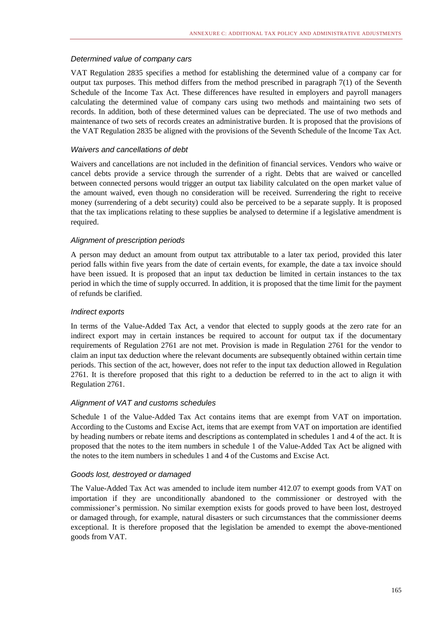#### *Determined value of company cars*

VAT Regulation 2835 specifies a method for establishing the determined value of a company car for output tax purposes. This method differs from the method prescribed in paragraph  $7(1)$  of the Seventh Schedule of the Income Tax Act. These differences have resulted in employers and payroll managers calculating the determined value of company cars using two methods and maintaining two sets of records. In addition, both of these determined values can be depreciated. The use of two methods and maintenance of two sets of records creates an administrative burden. It is proposed that the provisions of the VAT Regulation 2835 be aligned with the provisions of the Seventh Schedule of the Income Tax Act.

#### *Waivers and cancellations of debt*

Waivers and cancellations are not included in the definition of financial services. Vendors who waive or cancel debts provide a service through the surrender of a right. Debts that are waived or cancelled between connected persons would trigger an output tax liability calculated on the open market value of the amount waived, even though no consideration will be received. Surrendering the right to receive money (surrendering of a debt security) could also be perceived to be a separate supply. It is proposed that the tax implications relating to these supplies be analysed to determine if a legislative amendment is required.

#### *Alignment of prescription periods*

A person may deduct an amount from output tax attributable to a later tax period, provided this later period falls within five years from the date of certain events, for example, the date a tax invoice should have been issued. It is proposed that an input tax deduction be limited in certain instances to the tax period in which the time of supply occurred. In addition, it is proposed that the time limit for the payment of refunds be clarified.

#### *Indirect exports*

In terms of the Value-Added Tax Act, a vendor that elected to supply goods at the zero rate for an indirect export may in certain instances be required to account for output tax if the documentary requirements of Regulation 2761 are not met. Provision is made in Regulation 2761 for the vendor to claim an input tax deduction where the relevant documents are subsequently obtained within certain time periods. This section of the act, however, does not refer to the input tax deduction allowed in Regulation 2761. It is therefore proposed that this right to a deduction be referred to in the act to align it with Regulation 2761.

#### *Alignment of VAT and customs schedules*

Schedule 1 of the Value-Added Tax Act contains items that are exempt from VAT on importation. According to the Customs and Excise Act, items that are exempt from VAT on importation are identified by heading numbers or rebate items and descriptions as contemplated in schedules 1 and 4 of the act. It is proposed that the notes to the item numbers in schedule 1 of the Value-Added Tax Act be aligned with the notes to the item numbers in schedules 1 and 4 of the Customs and Excise Act.

#### *Goods lost, destroyed or damaged*

The Value-Added Tax Act was amended to include item number 412.07 to exempt goods from VAT on importation if they are unconditionally abandoned to the commissioner or destroyed with the commissioner's permission. No similar exemption exists for goods proved to have been lost, destroyed or damaged through, for example, natural disasters or such circumstances that the commissioner deems exceptional. It is therefore proposed that the legislation be amended to exempt the above-mentioned goods from VAT.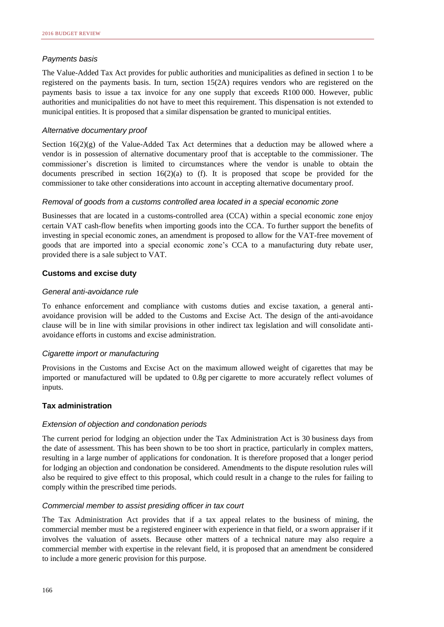#### *Payments basis*

The Value-Added Tax Act provides for public authorities and municipalities as defined in section 1 to be registered on the payments basis. In turn, section 15(2A) requires vendors who are registered on the payments basis to issue a tax invoice for any one supply that exceeds R100 000. However, public authorities and municipalities do not have to meet this requirement. This dispensation is not extended to municipal entities. It is proposed that a similar dispensation be granted to municipal entities.

#### *Alternative documentary proof*

Section  $16(2)(g)$  of the Value-Added Tax Act determines that a deduction may be allowed where a vendor is in possession of alternative documentary proof that is acceptable to the commissioner. The commissioner's discretion is limited to circumstances where the vendor is unable to obtain the documents prescribed in section  $16(2)(a)$  to (f). It is proposed that scope be provided for the commissioner to take other considerations into account in accepting alternative documentary proof.

#### *Removal of goods from a customs controlled area located in a special economic zone*

Businesses that are located in a customs-controlled area (CCA) within a special economic zone enjoy certain VAT cash-flow benefits when importing goods into the CCA. To further support the benefits of investing in special economic zones, an amendment is proposed to allow for the VAT-free movement of goods that are imported into a special economic zone's CCA to a manufacturing duty rebate user, provided there is a sale subject to VAT.

#### **Customs and excise duty**

#### *General anti-avoidance rule*

To enhance enforcement and compliance with customs duties and excise taxation, a general antiavoidance provision will be added to the Customs and Excise Act. The design of the anti-avoidance clause will be in line with similar provisions in other indirect tax legislation and will consolidate antiavoidance efforts in customs and excise administration.

#### *Cigarette import or manufacturing*

Provisions in the Customs and Excise Act on the maximum allowed weight of cigarettes that may be imported or manufactured will be updated to 0.8g per cigarette to more accurately reflect volumes of inputs.

#### **Tax administration**

#### *Extension of objection and condonation periods*

The current period for lodging an objection under the Tax Administration Act is 30 business days from the date of assessment. This has been shown to be too short in practice, particularly in complex matters, resulting in a large number of applications for condonation. It is therefore proposed that a longer period for lodging an objection and condonation be considered. Amendments to the dispute resolution rules will also be required to give effect to this proposal, which could result in a change to the rules for failing to comply within the prescribed time periods.

#### *Commercial member to assist presiding officer in tax court*

The Tax Administration Act provides that if a tax appeal relates to the business of mining, the commercial member must be a registered engineer with experience in that field, or a sworn appraiser if it involves the valuation of assets. Because other matters of a technical nature may also require a commercial member with expertise in the relevant field, it is proposed that an amendment be considered to include a more generic provision for this purpose.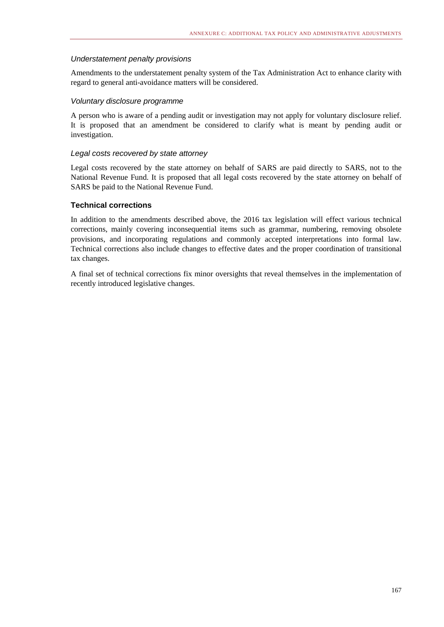#### *Understatement penalty provisions*

Amendments to the understatement penalty system of the Tax Administration Act to enhance clarity with regard to general anti-avoidance matters will be considered.

#### *Voluntary disclosure programme*

A person who is aware of a pending audit or investigation may not apply for voluntary disclosure relief. It is proposed that an amendment be considered to clarify what is meant by pending audit or investigation.

#### *Legal costs recovered by state attorney*

Legal costs recovered by the state attorney on behalf of SARS are paid directly to SARS, not to the National Revenue Fund. It is proposed that all legal costs recovered by the state attorney on behalf of SARS be paid to the National Revenue Fund.

#### **Technical corrections**

In addition to the amendments described above, the 2016 tax legislation will effect various technical corrections, mainly covering inconsequential items such as grammar, numbering, removing obsolete provisions, and incorporating regulations and commonly accepted interpretations into formal law. Technical corrections also include changes to effective dates and the proper coordination of transitional tax changes.

A final set of technical corrections fix minor oversights that reveal themselves in the implementation of recently introduced legislative changes.